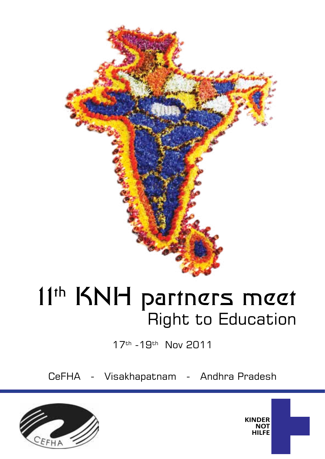

# 11<sup>th</sup> KNH partners meet Right to Education

17th -19th Nov 2011

CeFHA - Visakhapatnam - Andhra Pradesh



**KINDER NOT HILFE**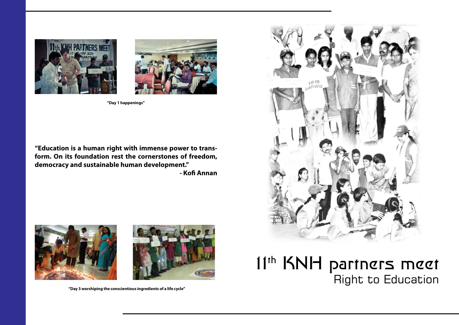# Right to Education

**"Education is a human right with immense power to transform. On its foundation rest the cornerstones of freedom, democracy and sustainable human development."** 

**- Kofi Annan**











**"Day 1 happenings"**

**"Day 3 worshiping the conscientious ingredients of a life cycle"**

11<sup>th</sup> KNH partners meet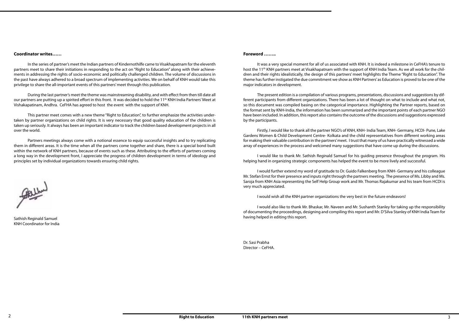#### **Foreword ……..**

It was a very special moment for all of us associated with KNH. It is indeed a milestone in CeFHA's tenure to host the 11<sup>th</sup> KNH partners meet at Visakhapatnam with the support of KNH India Team. As we all work for the children and their rights idealistically, the design of this partners' meet highlights the Theme "Right to Education". The theme has further instigated the due commitment we show as KNH Partners' as Education is proved to be one of the major indicators in development.

The present edition is a compilation of various programs, presentations, discussions and suggestions by different participants from different organizations. There has been a lot of thought on what to include and what not, so this document was compiled basing on the categorical importance. Highlighting the Partner reports, based on the format sent by KNH-India, the information has been summarized and the important points of each partner NGO have been included. In addition, this report also contains the outcome of the discussions and suggestions expressed by the participants.

Firstly, I would like to thank all the partner NGO's of KNH, KNH- India Team, KNH- Germany, HCDI- Pune, Lake Gardens Women & Child Development Centre- Kolkata and the child representatives from different working areas for making their valuable contribution in the partners' meet. I trust that many of us have practically witnessed a wide array of experiences in the process and welcomed many suggestions that have come up during the discussions.

I would like to thank Mr. Sathish Reginald Samuel for his guiding presence throughout the program. His helping hand in organizing strategic components has helped the event to be more lively and successful.

I would further extend my word of gratitude to Dr. Guido Falkenberg from KNH- Germany and his colleague Mr. Stefan Ernst for their presence and inputs right through the partners meeting. The presence of Ms. Libby and Ms. Saroja from KNH Asia representing the Self Help Group work and Mr. Thomas Rajakumar and his team from HCDI is very much appreciated.

I would wish all the KNH partner organizations the very best in the future endeavors!

I would also like to thank Mr. Bhaskar, Mr. Naveen and Mr. Sushanth Stanley for taking up the responsibility of documenting the proceedings, designing and compiling this report and Mr. D'Silva Stanley of KNH India Team for having helped in editing this report.

Dr. Sasi Prabha Director – CeFHA.

#### **Coordinator writes……**

In the series of partner's meet the Indian partners of Kindernothilfe came to Visakhapatnam for the eleventh partners meet to share their initiations in responding to the act on "Right to Education" along with their achievements in addressing the rights of socio-economic and politically challenged children. The volume of discussions in the past have always adhered to a broad spectrum of implementing activities. We on behalf of KNH would take this privilege to share the all-important events of this partners' meet through this publication.

During the last partner's meet the theme was mainstreaming disability, and with effect from then till date all our partners are putting up a spirited effort in this front. It was decided to hold the 11th KNH India Partners' Meet at Vishakapatinam, Andhra. CeFHA has agreed to host the event with the support of KNH.

This partner meet comes with a new theme "Right to Education", to further emphasize the activities undertaken by partner organizations on child rights. It is very necessary that good quality education of the children is taken up seriously. It always has been an important indicator to track the children based development projects in all over the world.

Partners meetings always come with a notional essence to equip successful insights and to try replicating them in different areas. It is the time when all the partners come together and share, there is a special bond built within the network of KNH partners, because of events such as these. Attributing to the efforts of partners coming a long way in the development front, I appreciate the progress of children development in terms of ideology and principles set by individual organizations towards ensuring child rights.

Sathish Reginald Samuel KNH Coordinator for India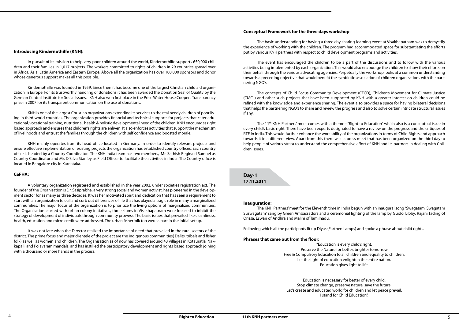#### **Conceptual Framework for the three days workshop**

The basic understanding for having a three day sharing-learning event at Visakhapatnam was to demystify the experience of working with the children. The program had accommodated space for substantiating the efforts put by various KNH partners with respect to child development programs and activities.

The event has encouraged the children to be a part of the discussions and to follow with the various activities being implemented by each organization. This would also encourage the children to show their efforts on their behalf through the various advocating agencies. Perpetually the workshop looks at a common understanding towards a preceding objective that would benefit the symbiotic association of children organizations with the partnering NGO's.

The 11<sup>th</sup> KNH Partners' meet comes with a theme - "Right to Education" which also is a conceptual issue in every child's basic right. There have been experts designated to have a review on the progress and the critiques of RTE in India. This would further enhance the workability of the organizations in terms of Child Rights and approach towards it in a different view. Apart from this there was a press meet that has been organized on the third day to help people of various strata to understand the comprehensive effort of KNH and its partners in dealing with Children issues.

The concepts of Child Focus Community Development (CFCD), Children's Movement for Climate Justice (CMCJ) and other such projects that have been supported by KNH with a greater interest on children could be refined with the knowledge and experience sharing. The event also provides a space for having bilateral decisions that helps the partnering NGO's to share and review the progress and also to solve certain intricate structural issues if any.

**Day-1 17.11.2011**

#### **Inauguration:**

The KNH Partners' meet for the Eleventh time in India begun with an inaugural song "Swagatam, Swagatam Suswagatam" sang by Green Ambassadors and a ceremonial lighting of the lamp by Guido, Libby, Rajani Tading of Orissa, Eswari of Andhra and Malini of Tamilnadu.

Following which all the participants lit up Diyas (Earthen Lamps) and spoke a phrase about child rights.

#### **Phrases that came out from the floor:**

"Education is every child's right. Preserve the Nature for better, brighter tomorrow Free & Compulsory Education to all children and equality to children. Let the light of education enlighten the entire nation. Education gives light to life.

Education is necessary for better of every child. Stop climate change, preserve nature, save the future. Let's create and educated world for children and let peace prevail. I stand for Child Education".

#### **Introducing Kindernothilfe (KNH):**

In pursuit of its mission to help very poor children around the world, Kindernothilfe supports 650,000 children and their families in 1,017 projects. The workers committed to rights of children in 29 countries spread over in Africa, Asia, Latin America and Eastern Europe. Above all the organization has over 100,000 sponsors and donor whose generous support makes all this possible.

Kindernothilfe was founded in 1959. Since then it has become one of the largest Christian child aid organization in Europe. For its trustworthy handling of donations it has been awarded the Donation Seal of Quality by the German Central Institute for Social Issues. KNH also won first place in the Price Water House Coopers Transparency prize in 2007 for its transparent communication on the use of donations.

KNH is one of the largest Christian organizations extending its services to the real needy children of poor living in third-world countries. The organization provides financial and technical supports for projects that cater educational, vocational training, nutritional, health & holistic developmental need of the children. KNH encourages right based approach and ensures that children's rights are enliven. It also enforces activities that support the mechanism of livelihoods and entrust the families through the children with self confidence and boosted morale.

KNH mainly operates from its head office located in Germany. In order to identify relevant projects and ensure effective implementation of existing projects the organization has established country offices. Each country office is headed by a Country Coordinator. The KNH India team has two members, Mr. Sathish Reginald Samuel as Country Coordinator and Mr. D'Silva Stanley as Field Officer to facilitate the activities in India. The Country office is located in Bangalore city in Karnataka.

#### **CeFHA:**

A voluntary organization registered and established in the year 2002, under societies registration act. The founder of the Organisation is Dr. Sasiprabha, a very strong social and women activist, has pioneered in the development sector for as many as three decades. It was her motivated spirit and dedication that has seen a requirement to start with an organization to cull and curb out differences of life that has played a tragic role in many a marginalized communities. The major focus of the organization is to prioritize the living options of marginalized communities. The Organisation started with urban colony initiatives, three slums in Visakhapatnam were focused to inhibit the strategy of development of individuals through community prowess. The basic issues that prevailed like cleanliness, health, education and micro credit were addressed. The urban fisherfolk too were a part in the initial set up.

It was not late when the Director realized the importance of need that prevailed in the rural sectors of the district. The prime focus and major clientele of the project are the indigenous communities( Dalits, tribals and fisher folk) as well as women and children. The Organisation as of now has covered around 43 villages in Kotauratla, Nakkapalli and Polavaram mandals. and has instilled the participatory development and rights based approach joining with a thousand or more hands in the process.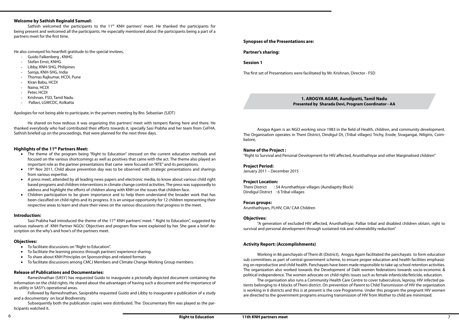## **Synopses of the Presentations are:**

#### **Partner's sharing:**

#### **Session 1**

The first set of Presentations were facilitated by Mr. Krishnan, Director - FSD

#### **1. AROGYA AGAM, Aundipatti, Tamil Nadu Presented by Sharada Devi, Program Coordinator - AA**

Arogya Agam is an NGO working since 1983 in the field of Health, children, and community development. The Organisation operates in Theni District, Dindigul Dt, (Tribal villages) Trichy, Erode, Sivagangai, Niligiris, Coimbatore,

#### **Name of the Project :**

"Right to Survival and Personal Development for HIV affected, Arunthathiyar and other Marginalised children"

#### **Project Period:**

January 2011 – December 2015

#### **Project Location:**

Theni District : 54 Arunthathiyar villages (Aundiaptty Block) Dindigul District : 6 Tribal villages

#### **Focus groups:**

Arunthathiyars, PLHIV, CIA/ CAA Children

#### **Objectives:**

"A generation of excluded HIV affected, Arunthathiyar, Palliar tribal and disabled children obtain, right to survival and personal development through sustained risk and vulnerability reduction"

## **Activity Report: (Accomplishments)**

Sathish welcomed the participants to the 11<sup>th</sup> KNH partners' meet. He thanked the participants for being present and welcomed all the participants. He especially mentioned about the participants being a part of a partners meet for the first time.

- Guido Falkenberg , KNHG
- Stefan Ernst, KNHG
- Libby, KNH-SHG, Philipines
- Saroja, KNH-SHG, India
- Thomas Rajkumar, HCDI, Pune
- Kiran Babu, HCDI
- Naina, HCDI
- Peter, HCDI
- Krishnan, FSD, Tamil Nadu
- Pallavi, LGWCDC, Kolkatta

Working in 86 panchayats of Theni dt (District), Arogya Agam facilitated the panchayats to form education sub committees as part of central government scheme, to ensure proper education and health facilities emphasizing on reproductive and child health. Panchayats have been made responsible to take up school retention activities. The organization also worked towards the Development of Dalit women federations towards socio-economic & political independence. The women advocate on child rights issues such as female infanticide/feticide, education. The organisation also runs a Community Health Care Centre to cover tuberculosis, leprosy, HIV infected patients belonging to 4 blocks of Theni district. On prevention of Parent to Child Transmission of HIV the organization is working in 6 districts and this is at present is the core Programme. Under this program the pregnant HIV women are directed to the government programs ensuring transmission of HIV from Mother to child are minimized.

- The theme of the program being "Right to Education" stressed on the current education methods and focused on the various shortcomings as well as positives that came with the act. The theme also played an important role as the partner presentations that came were focused on "RTE" and its perceptions.
- $19<sup>th</sup>$  Nov 2011, Child abuse prevention day was to be observed with strategic presentations and sharings from various expertise.
- A press meet, attended by all leading news papers and electronic media, to know about various child right based programs and children interventions in climate change control activities. The press was supposedly to address and highlight the efforts of children along with KNH on the issues that children face.
- Children participation to be given importance and to help them understand the broader work that has been classified on child rights and its progress. It is an unique opportunity for 12 children representing their respective areas to learn and share their views on the various discussions that progress in the meet.

#### **Welcome by Sathish Reginald Samuel:**

Sasi Prabha had introduced the theme of the 11<sup>th</sup> KNH partners' meet. " Right to Education", suggested by various stalwarts of KNH Partner NGOs'. Objectives and program flow were explained by her. She gave a brief description on the why's and how's of the partners meet.

- • To facilitate discussions on "Right to Education".
- To facilitate the learning process through partners' experience sharing.
- To share about KNH Principles on Sponsorships and related formats
- To facilitate discussions among CMCJ Members and Climate Change Working Group members.

He also conveyed his heartfelt gratitude to the special invitees,

Apologies for not being able to participate, in the partners meeting by Bro. Sebastian (SJDT)

He shared on how tedious it was organizing this partners' meet with tempers flaring here and there. He thanked everybody who had contributed their efforts towards it, specially Sasi Prabha and her team from CeFHA. Sathish briefed up on the proceedings, that were planned for the next three days.

#### **Highlights of the 11th Partners Meet:**

#### **Introduction:**

#### **Objectives:**

#### **Release of Publications and Documentaries:**

Rameshnathan (SASY) has requested Guido to inaugurate a pictorially depicted document containing the information on the child rights. He shared about the advantages of having such a document and the importance of its utility in SASY's operational areas.

Followed by Rameshnathan, Sasiprabha requested Guido and Libby to inaugurate a publication of a study and a documentary on local Biodiversity.

Subsequently both the publication copies were distributed. The Documentary film was played as the participants watched it.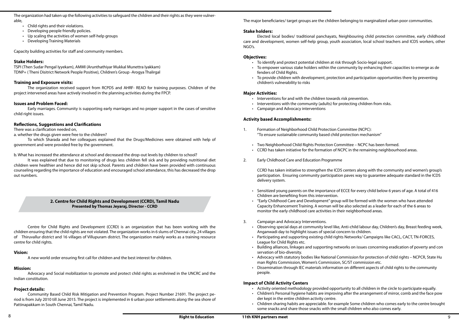Observing special days at community level like, Anti-child labour day, Children's day, Breast feeding week, Participating and supporting existing child rights Networks/ Campaigns like CACL, CACT, TN-FORCES,

Building alliances, linkages and supporting networks on issues concerning eradication of poverty and con

The major beneficiaries/ target groups are the children belonging to marginalized urban poor communities.

#### **Stake holders:**

Elected local bodies/ traditional panchayats, Neighbouring child protection committee, early childhood care and development, women self-help group, youth association, local school teachers and ICDS workers, other NGO's.

#### **Objectives:**

- Interventions for and with the children towards risk prevention.
- Interventions with the community (adults) for protecting children from risks.
- • Campaign and Advocacy interventions
- • To identify and protect potential children at risk through Socio-legal support.
- • To empower various stake holders within the community by enhancing their capacities to emerge as de fenders of Child Rights.
- To provide children with development, protection and participation opportunities there by preventing children's vulnerability to risks

#### **Major Activities:**

#### **Activity based Accomplishments:**

- 1. Formation of Neighborhood Child Protection Committee (NCPC): "To ensure sustainable community based child protection mechanism"
	- • Two Neighborhood Child Rights Protection Committee NCPC has been formed.
	- CCRD has taken initiative for the formation of NCPC in the remaining neighbourhood areas.
- 2. Early Childhood Care and Education Programme

CCRD has taken initiative to strengthen the ICDS centers along with the community and women's group's participation. Ensuring community participation paves way to guarantee adequate standard in the ICDS delivery system.

- Activity oriented methodology provided opportunity to all children in the circle to participate equally.
- der kept in the entire children activity centre.
- some snacks and share those snacks with the small children who also comes early.
- Child rights and their violations.
- Developing people friendly policies.
- • Up scaling the activities of women self-help groups
- • Developing Training Materials

Early marriages. Community is supporting early marriages and no proper support in the cases of sensitive child right issues.

- • Sensitized young parents on the importance of ECCE for every child below 6 years of age. A total of 416 Children are benefiting from this intervention.
- • "Early Childhood Care and Development" group will be formed with the women who have attended Capacity Enhancement Training. A woman will be also selected as a leader for each of the 6 areas to monitor the early childhood care activities in their neighborhood areas.
- 3. Campaign and Advocacy Interventions.
	- Anganwadi day to highlight issues of special concern to children.
	- League for Child Rights etc.
	- servation of bio-diversity.
	- • Advocacy with statutory bodies like National Commission for protection of child rights NCPCR, State Hu man Rights Commission, Women's Commission, SC/ST commission etc.
	- Dissemination through IEC materials information on different aspects of child rights to the community people.

#### **Impact of Child Activity Centers**

• Children's Personal hygiene habits are improving after the arrangement of mirror, comb and the face pow

Children sharing habits are appreciable. for example Some children who comes early to the centre brought

The organization had taken up the following activities to safeguard the children and their rights as they were vulnerable,

Capacity building activities for staff and community members.

#### **Stake Holders:**

TSPI (Then Sudar Pengal Iyyekam), AMMI (Arunthathiyar Mukkal Munettra Iyakkam) TDNP+ ( Theni Disitrict Network People Positive), Children's Group -Arogya Thalirgal

#### **Training and Exposure visits:**

The organization received support from RCPDS and AHRF- READ for training purposes. Children of the project intervened areas have actively involved in the planning activities during the FPCP.

#### **Issues and Problem Faced:**

#### **Reflections, Suggestions and Clarifications**

There was a clarification needed on,

a. whether the drugs given were free to the children?

To which Sharada and her colleagues explained that the Drugs/Medicines were obtained with help of government and were provided free by the government.

b. What has increased the attendance at school and decreased the drop-out levels by children to school?

It was explained that due to monitoring of drugs less children fell sick and by providing nutritional diet children were healthier and hence did not skip school. Parents and children have been provided with continuous counseling regarding the importance of education and encouraged school attendance, this has decreased the drop out numbers.

#### **2. Centre for Child Rights and Development (CCRD), Tamil Nadu Presented by Thomas Jeyaraj, Director - CCRD**

Centre for Child Rights and Development (CCRD) is an organization that has been working with the children ensuring that the child rights are not violated. The organization works in 6 slums of Chennai city, 24 villages of Thiruvallur district and 16 villages of Villupuram district. The organization mainly works as a training resource centre for child rights.

#### **Vision:**

A new world order ensuring first call for children and the best interest for children.

#### **Mission:**

Advocacy and Social mobilization to promote and protect child rights as enshrined in the UNCRC and the Indian constitution.

#### **Project details:**

Community Based Child Risk Mitigation and Prevention Program. Project Number 21691. The project period is from July 2010 till June 2015. The project is implemented in 6 urban poor settlements along the sea shore of Pattinapakkam in South Chennai, Tamil Nadu.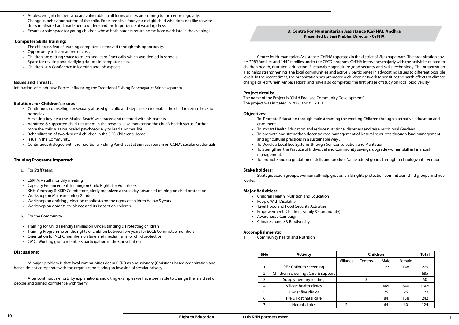#### **3. Centre For Humanitarian Assistance (CeFHA), Andhra Presented by Sasi Prabha, Director - CeFHA**

Centre for Humanitarian Assistance (CeFHA) operates in the district of Visakhapatnam, The organization covers 7089 families and 1442 families under the CFCD program. CeFHA intervenes majorly with the activities related to children health, nutrition, education, Sustainable agriculture ,food security and skills technology. The organization also helps strengthening the local communities and actively participates in advocating issues to different possible levels. In the recent times, the organization has promoted a children network to sensitize the harsh effects of climate change called "Green Ambassadors" and have also completed the first phase of 'study on local biodiversity'.

- • To Promote Education through mainstreaming the working Children through alternative education and enrolment.
- • To impart Health Education and reduce nutritional disorders and raise nutritional Gardens. To promote and strengthen decentralized management of Natural resources through land management
- and agricultural practices in a sustainable way .
- To Develop Local Eco Systems through Soil Conservation and Plantation. • To Strengthen the Practice of Individual and Community savings, upgrade women skill in Financial
- management.
- To promote and up gradation of skills and produce Value added goods through Technology intervention.

#### **Project details:**

The name of the Project is "Child Focused Community Development" The project was initiated in 2006 and till 2013.

#### **Objectives:**

- • Adolescent girl children who are vulnerable to all forms of risks are coming to the centre regularly.
- Change in behaviour pattern of the child. For example, a four year old girl child who does not like to wear dress motivated and made her to understand the importance of wearing dress.
- Ensures a safe space for young children whose both parents return home from work late in the evenings.

- • The children's fear of learning computer is removed through this opportunity.
- • Opportunity to learn at free of cost.
- Children are getting space to touch and learn Practically which was denied in schools.
- Space for revising and clarifying doubts in computer class.
- Children win Confidence in learning and job aspects.

#### **Stake holders:**

Strategic action groups, women self-help groups, child rights protection committees, child groups and net-

works.

#### **Major Activities:**

- • Children Health ,Nutrition and Education
- • People With Disability
- • Livelihood and Food Security Activities
- • Empowerment (Children, Family & Community)
- • Awareness / Campaign
- • Climate change & Biodiversity.
- a. For Staff team:
- $\cdot$  ESRPM staff monthly meeting
- **Capacity Enhancement Training on Child Rights for Volunteers.**
- KNH-Germany & KKID Coimbatore jointly organized a three day advanced training on child protection.
- Workshop on Mainstreaming Gender.
- Workshop on drafting, election manifesto on the rights of children below 5 years.
- Workshop on domestic violence and its impact on children.
- b. For the Community
- Training for Child Friendly families on Understanding & Protecting children
- • Training Programme on the rights of children between 0-6 years for ECCE Committee members
- Orientation for NCPC members on laws and mechanisms for child protection
- CMCJ Working group members participation in the Consultation

#### **Accomplishments:**

1. Community health and Nutrition

| <b>SNo</b>     | <b>Activity</b>                     | <b>Children</b> |         |      |        | <b>Total</b> |
|----------------|-------------------------------------|-----------------|---------|------|--------|--------------|
|                |                                     | Villages        | Centers | Male | Female |              |
|                | PF2 Children screening              |                 |         | 127  | 148    | 275          |
| $\overline{2}$ | Children Screening / Care & support |                 |         |      |        | 685          |
| 3              | Supplymentary feeding               |                 | 3       |      |        | 50           |
| 4              | Village health clinics              |                 |         | 465  | 840    | 1305         |
| 5              | Under five clinics                  |                 |         | 76   | 96     | 172          |
| 6              | Pre & Post natal care               |                 |         | 84   | 158    | 242          |
|                | <b>Herbal clinics</b>               | C               |         | 64   | 60     | 124          |

#### **Computer Skills Training:**

#### **Issues and Threats:**

Infiltration of Hindutuva Forces influencing the Traditional Fishing Panchayat at Srinivasapuram.

#### **Solutions for Children's issues**

- • Continuous counseling for sexually abused girl child and steps taken to enable the child to return back to normalcy
- • A missing boy near the 'Marina Beach' was traced and restored with his parents
- • Admitted & supported child treatment in the hospital, also monitoring the child's health status, further more the child was counseled psychosocially to lead a normal life.
- Rehabilitation of two deserted children in the SOS Children's Home
- Issue in the Community.
- • Continuous dialogue with the Traditional Fishing Panchayat at Srinivasapuram on CCRD's secular credentials

#### **Training Programs Imparted:**

#### **Discussions:**

"A major problem is that local communities deem CCRD as a missionary (Christian) based organization and hence do not co-operate with the organization fearing an invasion of secular privacy.

After continuous efforts by explanations and citing examples we have been able to change the mind set of people and gained confidence with them".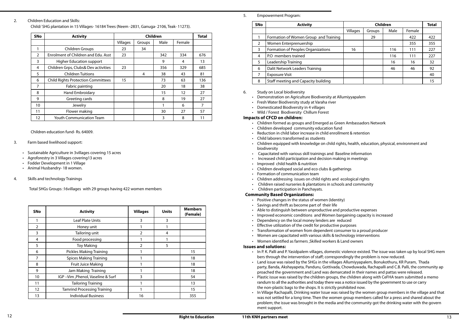- 
- 

• In P. K. Palli and P. Yasidpalem villages, domestic violence existed. The issue was taken up by local SHG mem

#### 5. Empowerment Program:

#### 6. Study on Local biodiversity

- Demonstration on Agriculture Biodiversity at Allumiyyapalem
- • Fresh Water Biodiversity study at Varaha river
- • Domesticated Biodiversity in 4 villages
- • Wild / Forest Biodiversity Chillum Forest

#### **Impacts of CFCD on children:**

- • Children formed as groups and Emerged as Green Ambassadors Network
- • Children developed community education fund
- • Reduction in child labor increase in child enrollment & retention
- • Child laborers transformed as students
- Children equipped with knowledge on child rights, health, education, physical, environment and biodiversity
- • Capacitated with various skill trainings and Baseline information
- • Increased child participation and decision making in meetings
- • Improved child health & nutrition
- Children developed social and eco clubs & gatherings
- • Formation of communication team
- • Children addressing issues on child rights and ecological rights
- • Children raised nurseries & plantations in schools and community
- • Children participation in Panchayats.

#### **Community Based Organizations:**

- • Positive changes in the status of women (Identity)
- • Savings and thrift as become part of their life
- Able to distinguish between unproductive and productive expenses
- Improved economic conditions and Women bargaining capacity is increased
- Dependency on the local money lenders are reduced
- • Effective utilization of the credit for productive purposes
- • Transformation of women from dependent consumer to a proud producer
- Women are capacitated with various skills & technology interventions
- • Women identified as farmers ,Skilled workers & Land owners

#### **Issues and solutions:**

party, Banda, Akshayapeta, Panduru, Gottivada, Chowduwada, Rachapalli and C.B. Palli, the community ap

- bers through the intervention of staff; correspondingly the problem is now reduced.
- • Land issue was raised by the SHGs in the villages Allumiyyapalem, Bonukothuru, KR Puram, Thada proached the government and Land was demarcated in their names and pattas were released.
- Plastic issue was raised by the children groups, the children along with CeFHA team submitted a memo randum to all the authorities and today there was a notice issued by the government to use or carry the non-plastic bags to the shops. It is strictly prohibited now.
- ment support.

• In Village Rachapalli, Drinking water Issue was raised by the women group members in the village and that was not settled for a long time. Then the women group members called for a press and shared about the problem; the issue was brought in the media and the community got the drinking water with the govern

#### 2. Children Education and Skills:

Child/ SHG plantation in 15 Villages- 16184 Trees (Neem -2831, Ganuga- 2106, Teak- 11273).

Children education fund- Rs. 64009.

- 3. Farm based livelihood support:
	- Sustainable Agriculture in 3villages covering 15 acres
	- Agroforestry in 3 Villages covering13 acres
	- Fodder Development in 1 Village
	- • Animal Husbandry- 18 women.
- 4. Skills and technology Trainings

Total SHGs Groups :16villages with 29 groups having 422 women members

| <b>SNo</b>     | <b>Activity</b>                    | <b>Villages</b> | <b>Units</b> | <b>Members</b><br>(Female) |
|----------------|------------------------------------|-----------------|--------------|----------------------------|
|                | <b>Leaf Plate Units</b>            | 3               | 3            |                            |
| $\overline{2}$ | Honey unit                         | 1               |              |                            |
| 3              | Tailoring unit                     | $\overline{2}$  | 4            |                            |
| 4              | Food processing                    |                 | 1            |                            |
| 5              | <b>Toy Making</b>                  | $\overline{2}$  | 5            |                            |
| 6              | <b>Pickles Making Training</b>     |                 |              | 15                         |
| 7              | <b>Spices Making Training</b>      |                 |              | 18                         |
| 8              | <b>Fruit Juice Making</b>          |                 |              | 18                         |
| 9              | Jam Making Training                | 1               |              | 18                         |
| 10             | IGP-Vim, Phenol, Vaseline & Surf   | 3               |              | 54                         |
| 11             | <b>Tailoring Training</b>          |                 |              | 13                         |
| 12             | <b>Tamrind Processing Training</b> |                 |              | 15                         |
| 13             | <b>Individual Business</b>         | 16              |              | 355                        |

| <b>SNo</b>     | <b>Activity</b>                           | <b>Children</b> |        |      |        | <b>Total</b> |
|----------------|-------------------------------------------|-----------------|--------|------|--------|--------------|
|                |                                           | Villages        | Groups | Male | Female |              |
| 1              | <b>Children Groups</b>                    | 23              | 34     |      |        |              |
| $\mathfrak{D}$ | Enrolment of Children and Edu. Asst       | 23              |        | 342  | 334    | 676          |
| 3              | <b>Higher Education support</b>           |                 |        | 9    | 4      | 13           |
| 4              | Children Grps, Clubs& Dev activities      | 23              |        | 356  | 329    | 685          |
| 5              | <b>Children Tuitions</b>                  |                 | 4      | 38   | 43     | 81           |
| 6              | <b>Child Rights Protection Committees</b> | 15              |        | 73   | 63     | 136          |
| 7              | Fabric painting                           |                 |        | 20   | 18     | 38           |
| 8              | Hand Embroidary                           |                 |        | 15   | 12     | 27           |
| 9              | Greeting cards                            |                 |        | 8    | 19     | 27           |
| 10             | Jewelry                                   |                 |        | 1    | 6      | 7            |
| 11             | Flower making                             |                 |        | 30   | 27     | 57           |
| 12             | <b>Youth Communication Team</b>           |                 |        | 3    | 8      | 11           |

| <b>SNo</b>    | <b>Activity</b>                       | <b>Children</b> |        |      | <b>Total</b> |     |
|---------------|---------------------------------------|-----------------|--------|------|--------------|-----|
|               |                                       | Villages        | Groups | Male | Female       |     |
|               | Formation of Women Group and Training |                 | 29     |      | 422          | 422 |
| $\mathcal{L}$ | Women Enterprenuership                |                 |        |      | 355          | 355 |
| 3             | Formation of Peoples Organizations    | 16              |        | 116  | 111          | 227 |
| 4             | P.O members trained                   |                 |        | 116  | 111          | 227 |
| 5             | Leadership Training                   |                 |        | 16   | 16           | 32  |
| 6             | Dalit Network Leaders Training        |                 |        | 46   | 46           | 92  |
| 7             | <b>Exposure Visit</b>                 |                 |        |      |              | 40  |
| 8             | Staff meeting and Capacity building   |                 |        |      |              | 15  |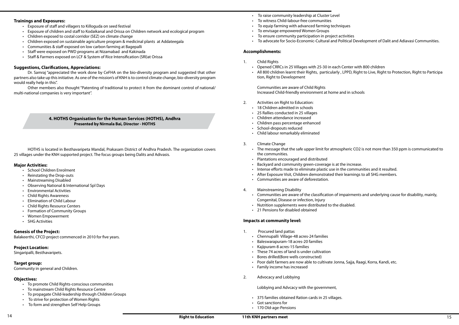- • To raise community leadership at Cluster Level
- • To witness Child-labour-free communities
- To equip farming with advanced farming techniques
- To envisage empowered Women Groups
- To ensure community participation in project activities
- • To advocate for Socio-Economic-Cultural and Political Development of Dalit and Adiavasi Communities.

- 2. Activities on Right to Education:
	- 18 Children admitted in schools
	- • 25 Rallies conducted in 25 villages
	- • Children attendance increased
	- • Children pass percentage enhanced
	- • School-dropouts reduced
	- • Child labour remarkably eliminated
- 3. Climate Change
	- the communities.
	- • Plantations encouraged and distributed
	- Backyard and community green-coverage is at the increase.
	- Intense efforts made to eliminate plastic use in the communities and it resulted.
	- • After Exposure Visit, Children demonstrated their learnings to all SHG members.
	- • Communities are aware of deforestation.
- 4. Mainstreaming Disability
	- Congenital, Disease or infection, Injury
	- Nutrition supplements were distributed to the disabled.
	- 21 Pensions for disabled obtained

#### **Accomplishments:**

- 1. Child Rights
	- Opened CRRCs in 25 Villages with 25-30 in each Center with 800 children
	- tion, Right to Development

• All 800 children learnt their Rights, particularly , LPPD, Right to Live, Right to Protection, Right to Participa

• The message that the safe upper limit for atmospheric CO2 is not more than 350 ppm is communicated to

Communities are aware of the classification of impairments and underlying cause for disability, mainly,

Communities are aware of Child Rights Increased Child-friendly environment at home and in schools

- • Exposure of staff and villagers to Killoguda on seed festival
- Exposure of children and staff to Kodaikanal and Orissa on Children network and ecological program
- Children exposed to costal corridor (SEZ) on climate change
- Children exposed on sustainable agriculture program & medicinal plants at Addateegala
- Communities & staff exposed on low carbon farming at Bagepalli
- Staff were exposed on PWD programs at Nizamabad and Kakinada
- Staff & Farmers exposed on LCF & System of Rice Intensification (SRI)at Orissa

#### **Impacts at community level:**

- • School Children Enrolment
- Reinstating the Drop-outs
- • Mainstreaming Disabled
- • Observing National & International Spl Days
- **Environmental Activities**
- **Child Rights Awareness**
- **Elimination of Child Labour**
- • Child Rights Resource Centers
- Formation of Community Groups
- **Women Empowerment**
- **SHG Activities**

- 1. Procured land pattas
	- • Chennupalli Village-48 acres-24 families
	- • Baleswarapuram-18 acres-20 families
	- • Kajipuram-8 acres-15 families
	- • These 74 acres of land is under cultivation
	- • Bores drilled(Bore wells constructed)
	- Poor dalit farmers are now able to cultivate Jonna, Sajja, Raagi, Korra, Kandi, etc.
	- • Family income has increased
- 2. Advocacy and Lobbying

#### Lobbying and Advcacy with the government,

- • 375 families obtained Ration cards in 25 villages.
- • Got sanctions for
- • 170 Old-age-Pensions

#### **Trainings and Exposures:**

#### **Suggestions, Clarifications, Appreciations:**

Dr. Samraj "appreciated the work done by CeFHA on the bio-diversity program and suggested that other partners also take up this initiative. As one of the mission's of KNH is to control climate change, bio-diversity program would really help in this".

Other members also thought "Patenting of traditional to protect it from the dominant control of national/ multi-national companies is very important".

#### **4. HOTHS Organisation for the Human Services (HOTHS), Andhra Presented by Nirmala Bai, Director - HOTHS**

HOTHS is located in Besthavaripeta Mandal, Prakasam District of Andhra Pradesh. The organization covers 25 villages under the KNH supported project. The focus groups being Dalits and Adivasis.

#### **Major Activities:**

#### **Genesis of the Project:**

Balakeerthi, CFCD project commenced in 2010 for five years.

#### **Project Location:**

Singaripalli, Besthavaripets.

#### **Target group:**

Community in general and Children.

#### **Objectives:**

- • To promote Child Rights-conscious communities
- • To mainstream Child Rights Resource Centre
- To propagate Child-leadership through Children Groups
- To strive for protection of Women Rights
- • To form and strengthen Self Help Groups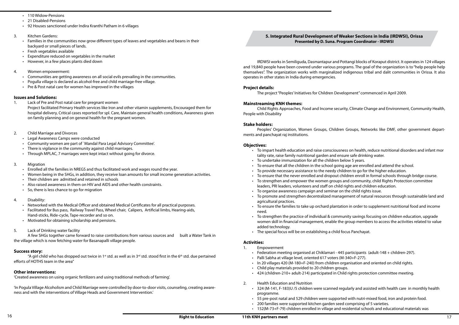#### **5. Integrated Rural Development of Weaker Sections in India (IRDWSI), Orissa Presented by D. Suna. Program Coordinator - IRDWSI**

IRDWSI works in Semiliguda, Dasmantapur and Pottangi blocks of Koraput district. It operates in 124 villages and 19,840 people have been covered under various programs. The goal of the organization is to "help people help themselves". The organization works with marginalized indigenous tribal and dalit communities in Orissa. It also operates in other states in India during emergencies.

- tality rate, raise family nutritional garden and ensure safe drinking water.
- To undertake immunization for all the children below 5 years.
- • To ensure that all the children in the school going age are enrolled and attend the school.
- To provide necessary assistance to the needy children to go for the higher education.
- 
- leaders, PRI leaders, volunteers and staff on child rights and children education.
- To organise awareness campaign and seminar on the child rights issue.
- agricultural practices.
- need.
- added technology.
- The special focus will be on establishing a child focus Panchayat.

#### **Project details:**

The project "Peoples' Initiatives for Children Development" commenced in April 2009.

#### **Mainstreaming KNH themes:**

Child Rights Approaches, Food and Income security, Climate Change and Environment, Community Health, People with Disability

#### **Stake holders:**

Peoples' Organization, Women Groups, Children Groups, Networks like DMF, other government departments and panchayat raj institutions.

#### **Objectives:**

• To impart health education and raise consciousness on health, reduce nutritional disorders and infant mor

• To ensure that the never enrolled and dropout children enroll in formal schools through bridge course.

To strengthen the practice of individual & community savings focusing on children education, upgrade women skill in financial management, enable the group members to access the activities related to value

• To strengthen and empower the women groups and community, child Rights Protection committee

- • 110 Widow-Pensions
- 21 Disabled-Pensions
- 92 Houses sanctioned under Indira Kranthi Patham in 6 villages
- 3. Kitchen Gardens:
	- Families in the communities now grow different types of leaves and vegetables and beans in their backyard or small pieces of lands.
	- Fresh vegetables available
	- Expenditure reduced on vegetables in the market
	- However, in a few places plants died down
- 4. Women empowerment:
	- Communities are getting awareness on all social evils prevailing in the communities.
	- Pogulla village is declared as alcohol-free and child marriage-free village.
	- Pre & Post natal care for women has improved in the villages

• To promote and strengthen decentralized management of natural resources through sustainable land and

- 1. Lack of Pre and Post natal care for pregnant women
	- Project facilitated Primary Health services like Iron and other vitamin supplements, Encouraged them for hospital delivery, Critical cases reported for spl. Care, Maintain general health conditions, Awareness given on family planning and on general health for the pregnant women.
- 2. Child Marriage and Divorces
	- **Legal Awareness Camps were conducted**
	- Community women are part of `Mandal Para Legal Advisory Committee'.
	- There is vigilance in the community against child marriages.
	- Through MPLAC, 7 marriages were kept intact without going for divorce.
- 3. Migration
	- Enrolled all the families in NREGS and thus facilitated work and wages round the year.
	- • Women being in the SHGs, in addition, they receive loan amounts for small income generation activities.
	- Their children are admitted and retained in schools
	- • Also raised awareness in them on HIV and AIDS and other health constraints.
	- So, there is less chance to go for migration

• To ensure the families to take up orchard plantation in order to supplement nutritional food and income

#### **Activities:**

- Networked with the Medical Officer and obtained Medical Certificates for all practical purposes.
- Facilitated for Bus pass, Railway Travel Pass, Wheel chair, Calipers, Artificial limbs, Hearing-aids, Hand-sticks, Ride-cycle, Tape-recorder and so on.
- Motivated for obtaining scholarship and pensions.
- 5. Lack of Drinking water facility

- 1. Empowerment
	- Federation meeting organised at Chiklamari 445 participants (adult-148 + children-297).
	- Palli Sabha at village level, oriented 617 voters (M-340+F-277).
	- In 20 villages 420 (M-180+F-240) from children organisation and oriented on child rights.
	- • Child play materials provided to 20 children groups.
	- • 424 (children-210+ adult-214) participated in Child rights protection committee meeting.
- 2. Health Education and Nutrition
	- • 324 (M-141, F-183)U /5 children were scanned regularly and assisted with health care in monthly health programme.
	- • 55 pre-post natal and 529 children were supported with nutri-mixed food, iron and protein food.
	- 200 families were supported kitchen garden seed comprising of 5 varieties.
	- • 152(M-73+F-79) children enrolled in village and residential schools and educational materials was

"A girl child who has dropped out twice in 1<sup>st</sup> std. as well as in 3<sup>rd</sup> std. stood first in the 6<sup>th</sup> std. due pertained efforts of HOTHS team in the area"

#### **Issues and Solutions:**

#### 4. Disability:

A few SHGs together came forward to raise contributions from various sources and built a Water Tank in the village which is now fetching water for Basanapalli village people.

#### **Success story:**

#### **Other interventions:**

'Created awareness on using organic fertilizers and using traditional methods of farming'.

'In Pogula Village Alcoholism and Child Marriage were controlled by door-to-door visits, counseling, creating awareness and with the interventions of Village Heads and Government Intervention.'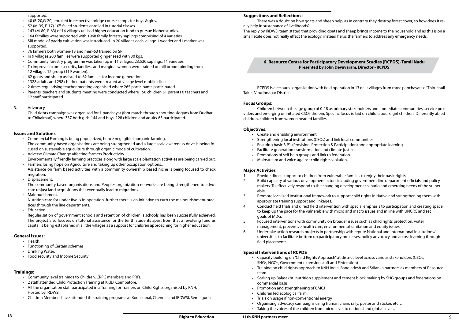#### **Suggestions and Reflections:**

There was a doubt on how goats and sheep help, as in contrary they destroy forest cover, so how does it really help in sustenance of livelihoods?

The reply by IRDWSI team stated that providing goats and sheep brings income to the household and as this is on a small scale does not really effect the ecology, instead helps the farmers to address any emergency needs.

- • Create and enabling environment
- Strengthening local institutions (CSOs) and link local communities.
- • Ensuring basic 3 P's (Provision, Protection & Participation) and appropriate learning.
- • Facilitate generation transformation and climate justice.
- • Promotions of self help groups and link to federation.
- Mainstream and voice against child rights violation.

#### **6. Resource Centre for Participatory Development Studies (RCPDS), Tamil Nadu Presented by John Devavaram, Director - RCPDS**

RCPDS is a resource organization with field operation in 13 dalit villages from three panchayats of Thiruchuli Taluk, Virudhnagar District.

#### **Focus Groups:**

Children between the age group of 0-18 as primary stakeholders and immediate communities, service providers and emerging or initiated CSOs therein, Specific focus is laid on child labours, girl children, Differently abled children, children from women headed families.

#### **Objectives:**

#### **Major Activities**

makers. To effectively respond to the changing development scenario and emerging needs of the vulner

- 1. Provide direct support to children from vulnerable families to enjoy their basic rights.
- 2. Build capacity of various development actors including government line department officials and policy able.
- 3. Promote localized institutional framework to support child rights initiative and strengthening them with appropriate training support and linkages.
- 4. Conduct field trials and direct field intervention with special emphasis to participation and creating space to keep up the pace for the vulnerable with micro and macro issues and in line with UNCRC and set goals of MDG.
- 5. Focused interventions with community on broader issues such as child rights protection, water management, preventive health care, environmental sanitation and equity issues.
- 6. Undertake action research projects in partnership with repute National and International institutions/ universities to facilitate bottom up participatory processes, policy advocacy and across learning through field placements.
- 40 (B-20,G-20) enrolled in respective bridge course camps for boys & girls.
- 52 (M-35, F-17) 10<sup>th</sup> failed students enrolled in tutorial classes.
- 143 (M-80, F-63) of 14 villages utilised higher education fund to pursue higher studies.
- • 164 families were supported with 1968 family forestry saplings comprising of 4 varieties.
- SRI model of paddy cultivation was introduced in 20 villages each village 1 weeder and 1 marker was supported.
- 76 farmers both women-13 and men-63 trained on SRI.
- In 9 villages 200 families were supported ginger seed with 30 kgs.
- Community forestry programme was taken up in 11 villages. 23,520 saplings, 11 varieties.
- To improve income security, landless and marginal women were trained on hill broom binding from 12 villages 12 group (119 women).
- 62 goats and sheep assisted to 62 families for income generation.
- 1328 adults and 298 children patients were treated at village level mobile clinic.
- 2 times regularising teacher meeting organised where 265 participants participated.
- Parents, teachers and students meeting were conducted where 156 children 51 parents 6 teachers and 12 staff participated.
- 3. Advocacy

#### **Special Interventions of RCPDS**

• Scaling up Balasakhti nutrition supplement and cement block making by SHG groups and federations on

- • Capacity building on "Child Rights Approach" at district level across various stakeholders (CBOs, SHGs, NGOs, Government extension staff and Federation)
- Training on child rights approach to KNH India, Bangladesh and Srilanka partners as members of Resource team.
- commercial basis.
- • Promotion and strengthening of CMCJ
- • Children led ecological farm.
- • Trials on usage if non-conventional energy
- Organising advocacy campaigns using human chain, rally, poster and sticker, etc...
- • Taking the voices of the children from micro level to national and global levels.

- Community level trainings to Children, CRPC members and PRI's.
- • 2 staff attended Child Protection Training at KKID, Coimbatore.
- All the organisation staff participated in a Training for Trainers on Child Rights organised by KNH, Hosted by IRDWSI.
- • Children Members have attended the training programs at Kodaikanal, Chennai and IRDWSI, Semiliguda.

#### supported.

Child rights campaign was organised for 1 panchayat (foot march through shouting slogans from Dudhari to Chikalmari) where 337 both girls-144 and boys-128 children and adults-65 participated.

#### **Issues and Solutions**

- Commercial Farming is being popularized, hence negligible inorganic farming. The community based organisations are being strengthened and a large scale awareness drive is being focused on sustainable agriculture through organic mode of cultivation.
- Adverse Climate Change affecting farmers Productivity. Environmentally friendly farming practices along with large scale plantation activities are being carried out.
- Farmers losing hope on Agriculture and taking up other occupation options,. Assistance on farm based activities with a community ownership based niche is being focused to check migration.
- Displacement.

The community based organisations and Peoples organization networks are being strengthened to advocate unjust land acquisitions that eventually lead to migrations.

Malnourishment.

Nutrition care for under five is in operation, further there is an initiative to curb the malnourishment practices through the line departments.

**Education** 

Regularisation of government schools and retention of children is schools has been successfully achieved. The project also focuses on tutorial assistance for the tenth students apart from that a revolving fund as capital is being established in all the villages as a support for children approaching for higher education.

#### **General Issues:**

- Health.
- Functioning of Certain schemes.
- **Drinking Water.**
- Food security and Income Security

#### **Trainings:**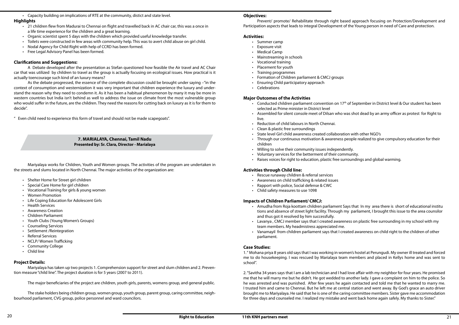#### **Objectives:**

# Prevent/ promote/ Rehabilitate through right based approach focusing on Protection/Development and

Participation aspects that leads to integral Development of the Young person in need of Care and protection.

#### **Activities:**

- • Summer camp
- Exposure visit
- • Medical Camp
- Mainstreaming in schools
- • Vocational training
- • Placement for youth
- • Training programmes
- Formation of Children parliament & CMCJ groups
- • Ensuring Child participatory approach
- • Celebrations

#### **Major Outcomes of the Activities**

- Conducted children parliament convention on 17<sup>th</sup> of September in District level & Our student has been selected as Prime minister in District level
- • Assembled for silent console meet of Dilsan who was shot dead by an army officer as protest for Right to live.
- • Reduction of child labours in North Chennai.
- Clean & plastic free surroundings
- State level Girl child awareness created collaboration with other NGO's
- Through our continuous motivation & awareness people realized to give compulsory education for their children
- • Willing to solve their community issues independently.
- • Voluntary services for the betterment of their community.
- • Raises voices for right to education, plastic free surroundings and global warming.

#### **Activities through Child line:**

- • Rescue runaway children & referral services
- • Awareness on child trafficking & related issues
- • Rapport with police, Social defense & CWC
- • Child safety measures to use 1098

#### **Impacts of Children Parliament/ CMCJ:**

- • 21 children flew from Madurai to Chennai on flight and travelled back in AC chair car, this was a once in a life time experience for the children and a great learning.
- • Organic scientist spent 5 days with the children which provided useful knowledge transfer.
- Toilets were constructed in few areas with community help. This was to avert child abuse on girl child.
- Nodal Agency for Child Right with help of CCRD has been formed.
- Free Legal Advisory Panel has been formed.

• Amudha from Roja koottam children parliament Says that In my area there is short of educational institu tions and absence of street light facility. Through my parliament, I brought this issue to the area counsilor

Lavanya, CMCJ member says that I created awareness on plastic free surrounding in my school with my

- and thus got it resolved by him successfully.
- team members. My headmistress appreciated me.
- parliament.

• Vanamayil from children parliament says that I created awareness on child right to the children of other

#### **Case Studies:**

1. " Mohana priya 8 years old says that I was working in women's hostel at Perungudi. My owner ill treated and forced me to do housekeeping. I was rescued by Marialaya team members and placed in Kellys home and was sent to school".

- • Shelter Home for Street girl children
- **Special Care Home for girl children**
- • Vocational Training for girls & young women
- **Women Promotion**
- • Life Coping Education for Adolescent Girls
- • Health Services
- • Awareness Creation
- • Children Parliament
- Youth Clubs (Young Women's Groups)
- **Counseling Services**
- • Settlement /Reintegration
- **Referral Services**
- NCLP/Women Trafficking
- • Community College
- **Child line**

2. "Savitha 34 years says that I am a lab technician and I had love affair with my neighbor for four years. He promised me that he will marry me but he didn't. He got wedded to another lady. I gave a complaint on him to the police. So he was arrested and was punished. After few years he again contacted and told me that he wanted to marry me. I trusted him and came to Chennai. But he left me at central station and went away. By God's grace an auto driver brought me to Mariyalaya. He said that he is one of the caring committee members. Sister gave me accommodation for three days and counseled me. I realized my mistake and went back home again safely. My thanks to Sister."

• Capacity building on implications of RTE at the community, distict and state level.

#### **Highlights**

#### **Clarifications and Suggestions:**

A Debate developed after the presentation as Stefan questioned how feasible the Air travel and AC Chair car that was utilized by children to travel as the group is actually focusing on ecological issues. How practical is it actually toencourage such kind of an luxury means?

As the debate progressed, the essence of the complete discussion could be brought under saying –"in the context of consumption and westernization it was very important that children experience the luxury and understand the reason why they need to condemn it. As it has been a habitual phenomenon by many it may be more in western countries but India isn't behind as well to address the issue on climate front the most vulnerable group who would suffer in the future, are the children. They need the reasons for cutting back on luxury as it is for them to decide".

" Even child need to experience this form of travel and should not be made scapegoats".

#### **7. MARIALAYA, Chennai, Tamil Nadu Presented by: Sr. Clara, Director - Marialaya**

Mariyalaya works for Children, Youth and Women groups. The activities of the program are undertaken in the streets and slums located in North Chennai. The major activities of the organization are:

#### **Project Details:**

Mariyalaya has taken up two projects 1. Comprehension support for street and slum children and 2. Prevention measure "child line". The project duration is for 5 years (2007 to 2011).

The major beneficiaries of the project are children, youth girls, parents, womens group, and general public.

The stake holders being children group, women group, youth group, parent group, caring committee, neighbourhood parliament, CVG group, police personnel and ward councilors.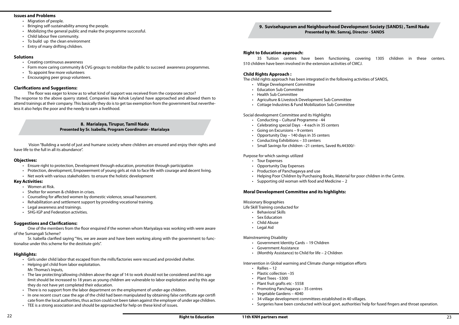#### **9. Suvisehapuram and Neighbourhood Development Society (SANDS) , Tamil Nadu Presented by Mr. Samraj, Director - SANDS**

#### **Right to Education approach:**

35 Tuition centers have been functioning, covering 1305 children in these centers. 510 children have been involved in the extension activities of CMCJ.

#### **Child Rights Approach :**

The child rights approach has been integrated in the following activities of SANDS,

- • Village Development Committee
- • Education Sub Committee
- • Health Sub Committee
- • Agriculture & Livestock Development Sub Committee
- • Cottage Industries & Fund Mobilization Sub Committee

Social development Committee and its Highlights

- • Government Identity Cards 19 Children
	- • Government Assistance
	- (Monthly Assistance) to Child for life  $-2$  Children
- • Conducting Cultural Programme 44
- • Celebrating special Days 4 each in 35 centers
- • Going on Excursions 9 centers
- Opportunity Day 140 days in 35 centers
- • Conducting Exhibitions 33 centers
- • Small Savings for children –21 centers, Saved Rs.44300/-

#### Purpose for which savings utilized

- Tour Expenses
- • Opportunity Day Expenses
- Production of Panchagavya and use
- Helping Poor Children by Purchasing Books, Material for poor children in the Centre.
- Supporting old woman with food and Medicine  $-2$

#### **Moral Development Committee and its highlights:**

Missionary Biographies

Life Skill Training conducted for

- • Behavioral Skills
- Sex Education
- • Child Abuse
- • Legal Aid

Mainstreaming Disability

- 
- 
- 

#### Intervention in Global warming and Climate change mitigation efforts

- Rallies 12
- Plastic collection -35
- • Plant Trees 5300
- • Plant fruit grafts etc 5558
- • Promoting Panchagavya 35 centres
- • Vegetable Gardens 4040
- • 34 village development committees established in 40 villages.
- Surgeries have been conducted with local govt. authorities' help for fused fingers and throat operation.

#### **Issues and Problems**

- Migration of people.
- Bringing self-sustainability among the people.
- • Mobilizing the general public and make the programme successful.
- • Child labour free community.
- To build up the clean environment
- Entry of many drifting children.

- • Girls under child labor that escaped from the mills/factories were rescued and provided shelter.
- • Helping girl child from labor exploitation. Mr. Thomas's Inputs,
- The law protecting/allowing children above the age of 14 to work should not be considered and this age limit should be increased to 18 years as young children are vulnerable to labor exploitation and by this age they do not have yet completed their education.
- There is no support from the labor department on the employment of under-age children.
- In one recent court case the age of the child had been manipulated by obtaining false certificate age certifi cate from the local authorities, thus action could not been taken against the employer of under age children.
- TEE is a strong association and should be approached for help on these kind of issues.

#### **Solutions**

- Creating continuous awareness
- Form more caring community & CVG groups to mobilize the public to succeed awareness programmes.
- To appoint few more volunteers
- Encouraging peer group volunteers.

#### **Clarifications and Suggestions:**

The floor was eager to know as to what kind of support was received from the corporate sector? The response to the above querry stated, Companies like Ashok Leyland have approached and allowed them to attend trainings at their company. This basically they do is to get tax exemption from the government but nevertheless it also helps the poor and the needy to earn a livelihood.

> **8. Marialaya, Tirupur, Tamil Nadu Presented by Sr. Isabella, Program Coordinator - Marialaya**

 Vision "Building a world of just and humane society where children are ensured and enjoy their rights and have life to the full in all its abundance".

#### **Objectives:**

- Ensure right to protection, Development through education, promotion through participation
- Protection, development, Empowerment of young girls at risk to face life with courage and decent living.
- Net work with various stakeholders to ensure the holistic development

#### **Key Activities:**

- Women at Risk.
- Shelter for women & children in crises.
- Counseling for affected women by domestic violence, sexual harassment.
- Rehabilitation and settlement support by providing vocational training.
- • Legal awareness and trainings.
- **SHG-IGP and Federation activities.**

#### **Suggestions and Clarifications:**

One of the members from the floor enquired if the women whom Mariyalaya was working with were aware of the Sumangali Scheme?

Sr. Isabella clarified saying "Yes, we are aware and have been working along with the government to functionalise under this scheme for the destitute girls".

#### **Highlights:**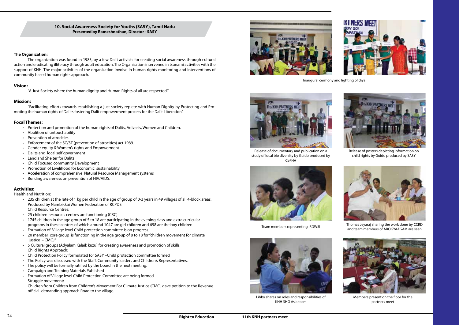

#### **10. Social Awareness Society for Youths (SASY), Tamil Nadu Presented by Rameshnathan, Director - SASY**

#### **The Organization:**

The organization was found in 1983, by a few Dalit activists for creating social awareness through cultural action and eradicating illiteracy through adult education. The Organisation intervened in tsunami activities with the support of KNH. The major activities of the organization involve in human rights monitoring and interventions of community based human rights approach.

- • Protection and promotion of the human rights of Dalits, Adivasis, Women and Children.
- • Abolition of untouchability
- • Prevention of atrocities
- Enforcement of the SC/ST (prevention of atrocities) act 1989.
- Gender equity & Women's rights and Empowerment
- Dalits and local self government
- • Land and Shelter for Dalits
- • Child Focused community Development
- Promotion of Livelihood for Economic sustainability
- Acceleration of comprehensive Natural Resource Management systems
- Building awareness on prevention of HIV/AIDS.

#### **Vision:**

"A Just Society where the human dignity and Human Rights of all are respected."

#### **Mission:**

"Facilitating efforts towards establishing a just society replete with Human Dignity by Protecting and Promoting the human rights of Dalits fostering Dalit empowerment process for the Dalit Liberation".

#### **Focal Themes:**

- 235 children at the rate of 1 kg per child in the age of group of 0-3 years in 49 villages of all 4-block areas. Produced by Nambikkai Women Federation of RCPDS Child Resource Centres:
- • 25 children resources centres are functioning (CRC)
- • 1745 children in the age group of 5 to 18 are participating in the evening class and extra curricular programs in these centres of which around 1047 are girl children and 698 are the boy children
- Formation of Village level Child protection committee is on progress.
- 20 member core group is functioning in the age group of 8 to 18 for "children movement for climate justice – CMCJ"
- • 5 Cultural groups (Adyalam Kalaik kuzu) for creating awareness and promotion of skills. Child Rights Approach:
- Child Protection Policy formulated for SASY –Child protection committee formed
- The Policy was discussed with the Staff, Community leaders and Children's Representatives.
- The policy will be formally ratified by the board in the next meeting.
- **Campaign and Training Materials Published**
- Formation of Village level Child Protection Committee are being formed Struggle movement:

#### **Activities:**

Health and Nutrition:

Children from Children from Children's Movement For Climate Justice (CMCJ gave petition to the Revenue official demanding approach Road to the village.





Thomas Jeyaraj sharing the work done by CCRD and team members of AROGYAAGAM are seen





Release of documentary and publication on a study of local bio diversity by Guido produced by CeFHA



Release of posters depicting information on child rights by Guido produced by SASY



Team members representing IRDWSI



Members present on the floor for the partners meet



Libby shares on roles and responsibilities of KNH SHG Asia team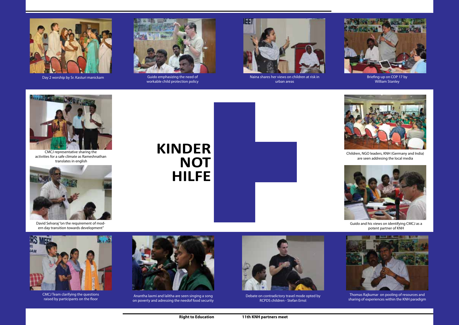

David Selvaraj "on the requirement of modern day transition towards development"



CMCJ Team clarifying the questions raised by participants on the floor



Naina shares her views on children at risk in urban areas



Anantha laxmi and lalitha are seen singing a song on poverty and adressing the needof food security



Guido and his views on identifying CMCJ as a potent partner of KNH



Debate on contradictory travel mode opted by RCPDS children - Stefan Ernst



Thomas Rajkumar on pooling of resources and sharing of experiences within the KNH paradigm



Briefing-up on COP 17 by William Stanley



Children, NGO leaders, KNH (Germany and India) are seen addresing the local media

# **KINDER NOT HILFE**



Day 2 worship by Sr. Kasturi manickam Guido emphasizing the need of



workable child protection policy



CMCJ representative sharing the activities for a safe climate as Rameshnathan translates in english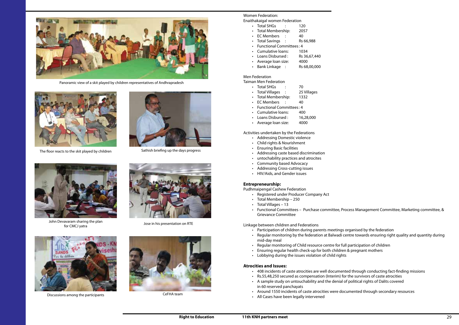Women Federation: Enaithakaigal women Federation

- Total SHGs : 120
- • Total Membership: 2057
- EC Members : 40
- Total Savings : Rs 66,988
- • Functional Committees: 4
- • Cumulative loans: 1034
- Loans Disbursed: Rs 36,67,440
- • Average loan size: 4000
- Bank Linkage : Rs 68,00,000

- Total SHGs : 70
- Total Villages : 25 Villages
- Total Membership: 1332
- EC Members : 40
- Functional Committees: 4
- • Cumulative loans: 400
- Loans Disbursed : 16,28,000
- • Average loan size: 4000

#### Men Federation

Taiman Men Federation

Activities undertaken by the Federations

- • Addressing Domestic violence
- • Child rights & Nourishment
- • Ensuring Basic facilities
- • Addressing caste based discrimination
- • untochability practices and atrocites
- • Community based Advocacy
- Addressing Cross-cutting issues
- • HIV/Aids, and Gender issues

- Participation of children during parents meetings organised by the federation
- mid-day meal
- Regular monitoring of Child resource centre for full participation of children
- Ensuring regular health check-up for both children & pregnant mothers
- • Lobbying during the issues violation of child rights

#### **Entrepreneurship:**

Pudhmaipengal Cashew Federation

- 408 incidents of caste atrocities are well documented through conducting fact-finding missions
- • Rs.55,48,250 secured as compensation (Interim) for the survivors of caste atrocities
- • A sample study on untouchability and the denial of political rights of Dalits covered in 60 reserved panchayats
- • Around 1550 incidents of caste atrocities were documented through secondary resources
- • All Cases have been legally intervened
- • Registered under Producer Company Act
- • Total Membership 250
- $\cdot$  Total Villages 13
- Grievance Committee

• Functional Committees – Purchase committee, Process Management Committee, Marketing committee, &

• Regular monitoring by the federation at Balwadi centre towards ensuring right quality and quantity during



John Devavaram sharing the plan ravaram shaming the plan<br>for CMCJ yatra Jose in his presentation on RTE





Discussions among the participants CeFHA team



Linkage between children and Federations

#### **Atrocities and Issues:**



Sathish briefing up the days progress



Panoramic view of a skit played by children representatives of Andhrapradesh



The floor reacts to the skit played by children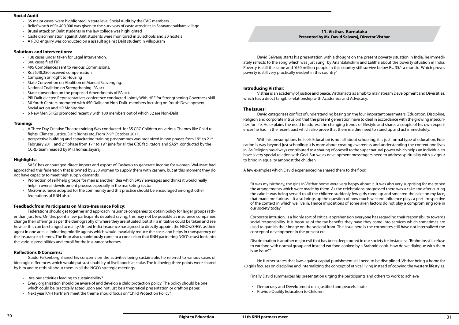**11. Visthar, Karnataka** 

David Selvaraj starts his presentation with a thought on the present poverty situation in India, he immediately reflects to the song which was just sung by Anantalakshmi and Lalitha about the poverty situation in India. Poverty is still the same and "650 million people in this country still survive below Rs. 35/- a month. Which proves poverty is still very practically evident in this country"

#### **Introducing Visthar:**

Visthar is an academy of justice and peace. Visthar acts as a hub to mainstream Development and Diversities, which has a direct tangible relationship with Academics and Advocacy.

#### **The Issues:**

David categorises conflict of understanding basing on the four important parameters (Education, Discipline, Religion and corporate intrusion) that the present generation have to deal in accordance with the growing insecurities for life. He explains the need to address the changing trends of lifestyle and shares a couple of his own experiences he had in the recent past which also prove that there is a dire need to stand up and act immediately.

With his presumptions he feels Education is not all about schooling; it is just formal type of education. Education is way beyond just schooling; it is more about creating awareness and understanding the context one lives in. As Religion has always contributed to a sharing of oneself to the super natural power which helps an individual to have a very special relation with God. But we as development messengers need to address spirituality with a vigour to bring in equality amongst the children.

- Democracy and Development on a justified and peaceful note.
- • Provide Quality Education to Children.

A few examples which David experienced,he shared them to the floor,

- 35 major cases were highlighted in state level Social Audit by the CAG members
- Relief worth of Rs.400,000 was given to the survivors of caste atrocities in Saravanapakkam village
- Brutal attack on Dalit students in the law college was highlighted
- • Caste discrimination against Dalit students were monitored in 30 schools and 30 hostels
- • A RDO enquiry was conducted on a assault against Dalit student in villupuram

"It was my birthday, the girls in Visthar home were very happy about it. It was also very surprising for me to see the arrangements which were made by them. As the celebrations progressed there was a cake and after cutting the cake it was being served to all the children suddenly few girls came up and smeared the cake on my face, that made me furious – It also brings up the question of how much western influence plays a part irrespective of the context in which we live in. Hence impositions of some alien factors do not play a compromising role in our society today.

Corporate intrusion, is a highly sort of critical apprehension everyone has regarding their responsibility towards social responsibility. It is because of the tax benefits they have they come into services which sometimes are used to garnish their image on the societal front. The issue here is the corporates still have not internalized the concept of development in the present era.

Discrimination is another major evil that has been deep rooted in our society for instance a "Brahmins still refuse to eat food with normal group and instead eat food cooked by a Brahmin cook. How do we dialogue with them is an issue?".

He further states that laws against capital punishment still need to be disciplined. Visthar being a home for 70 girls focuses on discipline and internalizing the concept of ethical living instead of copying the western lifestyles.

Finally David summarizes his presentation urging the participants and others to work to achieve

#### **Social Audit**

#### **Solutions and Interventions:**

- • 138 cases under taken for Legal Intervention.
- • 300 cases filed FIR
- • 495 Compliances sent to various Commissions.
- • Rs.55,48,250 received compensation
- Campaign on Right to Housing
- State Convention on Abolition of Manual Scavenging.
- National Coalition on Strengthening PA act
- State convention on the proposed Amendments of PA act.
- **PRI Dalit elected Representatives conference conducted Jointly With HRF for Strengthening Governess skill**
- 30 Youth Centers promoted with 450 Dalit and Non-Dalit members focusing on Youth Development, Social action and HR Monitoring.
- • 6 New Men SHGs promoted recently with 100 members out of which 32 are Non-Dalit

#### **Training:**

- • A Three Day Creative Theatre training Was conducted for 35 CRC Children on various Themes like Child re fights, Climate Justice, Dalit Rights etc..From 7-9th October 2011.
- perspective building and capacitating training programmes was organized in two phases from 19<sup>th</sup> to 21<sup>st</sup> February 2011 and  $2^{nd}$  phase from 17<sup>th</sup> to 19<sup>th</sup> june for all the CRC facilitators and SASY conducted by the CCRD team headed by Mr.Thomas Jayaraj.

#### **Highlights:**

SASY has encouraged direct import and export of Cashews to generate income for women. Wal-Mart had approached this federation that is owned by 250 women to supply them with cashew, but at this moment they do not have capacity to meet high supply demands.

- • Promotion of self-help groups for men is another idea which SASY envisages and thinks it would really help in overall development process especially in the marketing sector.
- • Micro-insurance adopted for the community and this practice should be encouraged amongst other federations of KNH also.

#### **Feedback from Participants on Micro-Insurance Policy:**

Federations should get together and approach insurance companies to obtain policy for larger groups rather than just few. On this point a few participants debated saying, this may not be possible as insurance companies change their offerings as per the demography of where they are situated, but still a initiative could be taken and see how far this can be changed to reality. United India Insurance has agreed to directly appoint the NGO's/SHG's as their agent in one area, eliminating middle agents which would invariably reduce the costs and helps in transparency of the insurance schemes. The floor also unanimously came to a conclusion that KNH partnering NGO's must look into the various possibilities and enroll for the insurance schemes.

#### **Reflections & Concerns:**

Guido Falkenberg shared his concerns on the activities being sustainable, he referred to various cases of ideologic differences which would put sustainability of livelihoods at stake, The following three points were shared by him and to rethink about them in all the NGO's strategic meetings,

- • Are our activities leading to sustainability?
- Every organization should be aware of and develop a child protection policy. The policy should be one which could be practically acted upon and not just be a theoretical presentation or draft on paper.
- • Next year KNH Partner's meet the theme should focus on "Child Protection Policy".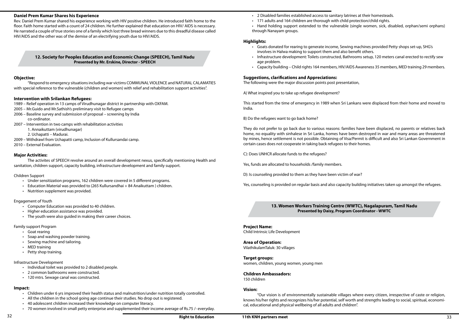- • 2 Disabled families established access to sanitary latrines at their homesteads.
- • 171 adults and 164 children are thorough with child protection/child rights.
- through Nanayam groups.

• Hand holding support extended to the vulnerable (single women, sick, disabled, orphan/semi orphans)

Infrastructure development: Toilets constructed, Bathrooms setup, 120 meters canal erected to rectify sew

#### **Highlights:**

- • Goats donated for rearing to generate income, Sewing machines provided Petty shops set-up, SHG's involves in Halwa making to support them and also benefit others.
- age problem.
- 

• Capacity building – Child rights 164 members, HIV/AIDS Awareness 35 members, MED training 29 members.

#### **Suggestions, clarifications and Appreciations:**

The following were the major discussion points post presentation,

A) What inspired you to take up refugee development?

This started from the time of emergency in 1989 when Sri Lankans were displaced from their home and moved to India.

B) Do the refugees want to go back home?

They do not prefer to go back due to various reasons: families have been displaced, no parents or relatives back home, no equality with sinhalese in Sri Lanka, homes have been destroyed in war and many areas are threatened by mines, hence settlement is not possible. Obtaining of Visa/Permit is difficult and also Sri Lankan Government in certain cases does not cooperate in taking back refugees to their homes.

C): Does UNHCR allocate funds to the refugees?

Yes, funds are allocated to households /family members.

D): Is counseling provided to them as they have been victim of war?

Yes, counseling is provided on regular basis and also capacity building initiatives taken up amongst the refugees.

#### **13. Women Workers Training Centre (WWTC), Nagalapuram, Tamil Nadu Presented by Daisy, Program Coordinator - WWTC**

**Project Name:**  Child Intrinsic Life Development

**Area of Operation:**  VilathikulamTaluk: 30 villages

- • Under sensitization programs, 162 children were covered in 5 different programs.
- Education Material was provided to (265 Kullursandhai + 84 Anaikuttam ) children.
- Nutrition supplement was provided.

**Target groups:**  women, children, young women, young men

**Children Ambassadors:** 

150 children

- • Computer Education was provided to 40 children.
- • Higher education assistance was provided.
- The youth were also guided in making their career choices.

#### **Vision:**

- • Goat rearing
- Soap and washing powder training.
- • Sewing machine and tailoring.
- MED training
- Petty shop training.

"Our vision is of environmentally sustainable villages where every citizen, irrespective of caste or religion, knows his/her rights and recognizes his/her potential, self worth and strengths leading to social, spiritual, economical, educational and physical wellbeing of all adults and children".

- Individual toilet was provided to 2 disabled people.
- • 2 common bathrooms were constructed.
- • 120 mtrs. Sewage canal was constructed.

- • Children under 6 yrs improved their health status and malnutrition/under nutrition totally controlled.
- All the children in the school going age continue their studies. No drop out is registered.
- • 40 adolescent children increased their knowledge on computer literacy.
- 70 women involved in small petty enterprise and supplemented their income average of Rs.75 /- everyday.

#### **Daniel Prem Kumar Shares his Experience**

Rev. Daniel Prem Kumar shared his experience working with HIV positive children. He introduced faith home to the floor. Faith home started with a count of 24 children. He further explained that education on HIV/ AIDS is necessary. He narrated a couple of true stories one of a family which lost three bread winners due to this dreadful disease called HIV/AIDS and the other was of the demise of an electrifying youth due to HIV/AIDS.

#### **12. Society for Peoples Education and Economic Change (SPEECH), Tamil Nadu Presented by Mr. Erskine, Director - SPEECH**

#### **Objective:**

"Respond to emergency situations including war victims COMMUNAL VIOLENCE and NATURAL CALAMATIES with special reference to the vulnerable (children and women) with relief and rehabilitation support activities".

#### **Intervention with Srilankan Refugees:**

- 1989 Relief operation in 13 camps of Virudhunagar district in partnership with OXFAM.
- 2005 Mr.Guido and Mr.Sathish's preliminary visit to Refugee camps
- 2006 Baseline survey and submission of proposal screening by India co-ordinator.
- 2007 Intervention in two camps with rehabilitation activities
	- 1. Annaikuttam (virudhunagar)
	- 2. Uchapatti Madurai.
- 2009 Withdrawl from Uchapatti camp, Inclusion of Kullursandai camp.
- 2010 External Evaluation.

#### **Major Activities:**

The activites of SPEECH revolve around an overall development nexus, specifically mentioning Health and sanitation, children support, capacity building, infrastructure development and family support.

Children Support

#### Engagement of Youth

#### Family support Program

#### Infrastructure Development

#### **Impact:**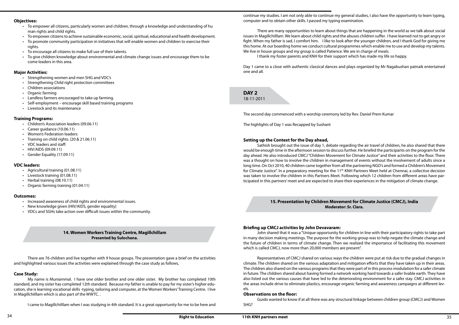continue my studies. I am not only able to continue my general studies, I also have the opportunity to learn typing, computer and to obtain other skills. I passed my typing examination.

There are many opportunities to learn about things that are happening in the world as we talk about social issues in MagillchiIllam. We learn about child rights and the abuses children suffer. I have learned not to get angry or fight. When my father is sad, I comfort him. I like to look after the younger children, and I thank God for giving me this home. At our boarding home we conduct cultural programmes which enable me to use and develop my talents. We live in house groups and my group is called Patience. We are in charge of meals. I thank my foster parents and KNH for their support which has made my life so happy.

Day 1 came to a close with authentic classical dances and plays organized by Mr Nagabushan patnaik entertained one and all.

**DAY 2** 18-11-2011

The second day commenced with a worship ceremony led by Rev. Daniel Prem Kumar

The highlights of Day 1 was Recapped by Sushant

#### **Setting up the Context for the Day ahead,**

Sathish brought out the issue of day 1, debate regarding the air travel of children, he also shared that there would be enough time in the afternoon session to discuss further. He briefed the participants on the program for the day ahead. He also introduced CMCJ "Children Movement for Climate Justice" and their activities to the floor. There was a thought on how to involve the children in management of events without the involvement of adults since a long time. On Oct 2010, 40 children came together from all the partnering NGO's and formed a Children's Movement for Climate Justice". In a preparatory meeting for the 11<sup>th</sup> KNH Partners Meet held at Chennai, a collective decision was taken to involve the children in this Partners Meet. Following which 12 children from different areas have participated in this partners' meet and are expected to share their experiences in the mitigation of climate change.

- To empower all citizens, particularly women and children, through a knowledge and understanding of hu man rights and child rights.
- To empower citizens to achieve sustainable economic, social, spiritual, educational and health development.
- To promote community participation in initiatives that will enable women and children to exercise their rights.
- To encourage all citizens to make full use of their talents.
- To give children knowledge about environmental and climate change issues and encourage them to be come leaders in this area.

- • Strengthening women and men SHG and VDC's
- Strengthening Child right protection committees
- • Children associations
- Organic farming
- Landless farmers encouraged to take up farming.
- Self-employment encourage skill based training programs
- **Livestock and its maintenance**

**15. Presentation by Children Movement for Climate Justice (CMCJ), India Moderator: Sr. Clara.**

- • Children's Association leaders (09.06.11)
- Career guidance (10.06.11)
- Women's Federation leaders:
- • Training on child rights. (20 & 21.06.11)
- VDC leaders and staff:
- • HIV/AIDS (09.09.11)
- Gender Equality (17.09.11)

#### **Briefing up CMCJ activities by John Devavaram:**

- • Agricultural training (01.08.11)
- Livestock training (01.08.11)
- Herbal training (08.10.11)
- Organic farming training (01.04.11)

John shared that it was a "Unique opportunity for children in line with their participatory rights to take part in many decision making meetings. The purpose for the working group was to help negate the climate change and the future of children in terms of climate change. Then we realized the importance of facilitating this movement which is called CMCJ, now more than 20,000 members are present".

Representatives of CMCJ shared on various ways the children were put at risk due to the gradual changes in climate. The children shared on the various adaptation and mitigation efforts that they have taken up in their areas. The children also shared on the various programs that they were part of in this process modulation for a safer climate in future. The children shared about having formed a network working hard towards a safer livable earth. They have also listed out the various causes that have led to the deteriorating environment for a safer stay. CMCJ activities in the areas include drive to eliminate plastics, encourage organic farming and awareness campaigns at different levels.

#### **Observations on the floor:**

Guido wanted to know if at all there was any structural linkage between children group (CMCJ) and Women SHG?

#### **Objectives:**

#### **Major Activities:**

#### **Training Programs:**

#### **VDC leaders:**

#### **Outcomes:**

- Increased awareness of child rights and environmental issues.
- New knowledge given (HIV/AIDS, gender equality)
- VDCs and SGHs take action over difficult issues within the community.

#### **14. Women Workers Training Centre, Magillchillam Presented by Sulochana.**

There are 76 children and live together with 9 house groups. The presentation gave a brief on the activities and highlighted various issues the activities were explained through the case study as follows,

#### **Case Study:**

My name is Muniammal. I have one older brother and one older sister. My brother has completed 10th standard, and my sister has completed 12th standard. Because my father is unable to pay for my sister's higher education, she is learning vocational skills -typing, tailoring and computer, at the Women Workers' Training Centre. I live in MagillchiIllam which is also part of the WWTC. .

I came to MagillchiIllam when I was studying in 4th standard. It is a great opportunity for me to be here and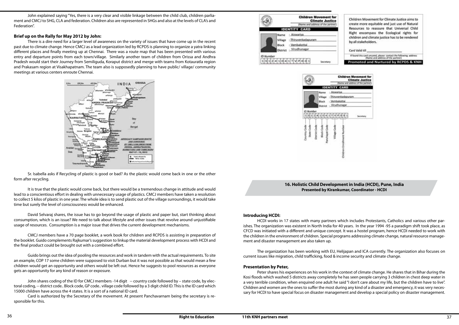| by all stakeholders.                                 | Children Movement for Climate Justice aims to<br>create more equitable and just use of Natural<br>Resources to reassure that Universal Child<br>Right encompass the Ecological rights for<br>children and climate justice has to be rendered |
|------------------------------------------------------|----------------------------------------------------------------------------------------------------------------------------------------------------------------------------------------------------------------------------------------------|
| Card Valid till                                      |                                                                                                                                                                                                                                              |
| if found this card uncared.                          | contact the following address<br>ddress of the partner)                                                                                                                                                                                      |
|                                                      | Promoted and Nurtured by RCPDS & KNH                                                                                                                                                                                                         |
| 'en<br><b>Movement</b> for<br><b>Climate Justice</b> |                                                                                                                                                                                                                                              |
| id address of the part<br>п                          |                                                                                                                                                                                                                                              |
|                                                      |                                                                                                                                                                                                                                              |
| menut                                                |                                                                                                                                                                                                                                              |
|                                                      |                                                                                                                                                                                                                                              |
|                                                      |                                                                                                                                                                                                                                              |

**16. Holistic Child Development in India (HCDI), Pune, India Presented by Kirankumar, Coordinator - HCDI**

#### **Introducing HCDI:**

HCDI works in 17 states with many partners which includes Protestants, Catholics and various other parishes. The organization was existent in North India for 40 years. In the year 1994 -95 a paradigm shift took place, as CFCD was initiated with a different and unique concept. It was a hostel program, hence HCDI needed to work with the children in the environment of children. Special programs addressing climate change, natural resource management and disaster management are also taken up.

The organization has been working with EU, Helijapan and ICA currently. The organization also focuses on current issues like migration, child trafficking, food & income security and climate change.

#### **Presentation by Peter,**

Peter shares his experiences on his work in the context of climate change. He shares that in Bihar during the Kosi floods which washed 5 districts away completely he has seen people carrying 3 children in chest deep water in a very terrible condition, when enquired one adult he said "I don't care about my life, but the children have to live". Children and women are the ones to suffer the most during any kind of a disaster and emergency, it was very necessary for HCDI to have special focus on disaster management and develop a special policy on disaster management.

John explained saying "Yes, there is a very clear and visible linkage between the child club, children parliament and CMCJ to SHG, CLA and federation. Children also are represented in SHGs and also at the levels of CLA's and Federation".

#### **Brief up on the Rally for May 2012 by John:**

There is a dire need for a larger level of awareness on the variety of issues that have come up in the recent past due to climate change. Hence CMCJ as a lead organization led by RCPDS is planning to organize a yatra linking different places and finally meeting up at Chennai. There was a route map that has been presented with various entry and departure points from each town/village. Similarly another team of children from Orissa and Andhra Pradesh would start their Journey from Semiliguda, Koraput district and merge with teams from Kotauratla region and Prakasam region at Visakhapatnam. The team also is supposedly planning to have public/ village/ community meetings at various centers enroute Chennai.





It is true that the plastic would come back, but there would be a tremendous change in attitude and would lead to a conscientious effort in dealing with unnecessary usage of plastics. CMCJ members have taken a resolution to collect 5 kilos of plastic in one year. The whole idea is to send plastic out of the village surroundings, it would take time but surely the level of consciousness would be enhanced.

David Selvaraj shares, the issue has to go beyond the usage of plastic and paper but, start thinking about consumption, which is an issue? We need to talk about lifestyle and other issues that revolve around unjustifiable usage of resources. Consumption is a major issue that drives the current development mechanisms.

CMCJ members have a 70 page booklet, a work book for children and RCPDS is assisting in preparation of the booklet. Guido complements Raikumar's suggestion to linkup the material development process with HCDI and the final product could be brought out with a combined effort.

Guido brings out the idea of pooling the resources and work in tandem with the actual requirements. To site an example, COP 17 some children were supposed to visit Durban but it was not possible as that would mean a few children would get an opportunity and others would be left out. Hence he suggests to pool resources as everyone gets an opportunity for any kind of reason or exposure.

John shares coding of the ID for CMCJ members -14 digit -- country code followed by – state code, by electoral coding, -- district code.. Block code, GP code.. village code followed by a 3 digit child ID. This is the ID card which 15000 children have across the 4 states. It is a sort of a national ID card.

Card is authorized by the Secretary of the movement. At present Panchavarnam being the secretary is responsible for this.



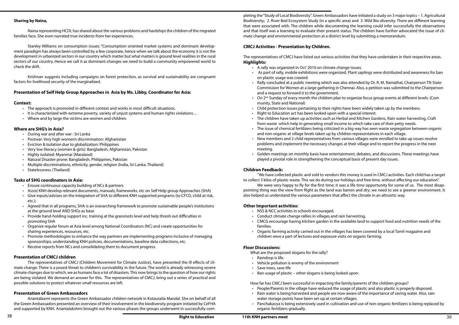pleting the "Study of Local Biodiversity". Green Ambassadors have initiated a study on 3 major topics – 1. Agricultural Biodiversity; 2. River Bed Ecosystem Study (in a specific area) and 3. Wild Bio-diversity. There are different learning that were associated with. The children while documenting the learning could infer successfully the observations and that itself was a learning to evaluate their present status. The children have further advocated the issue of climate change and environmental protection at a district level by submitting a memorandum.

Rally concluded at a public meeting which was also attended by Dr. R. M. Ramathal, Chairperson TN State Commission for Women at a large gathering in Chennai. Also, a petition was submitted to the Chairperson

#### **CMCJ Activities - Presentation by Children.**

The representatives of CMCJ have listed out various activities that they have undertaken in their respective areas. **Highlights:** 

• As part of rally, mobile exhibitions were organized. Plant saplings were distributed and awareness for ban

"We have collected plastic and sold to vendors this money is used in CMCJ activities. Each child has a target We were very happy to fly for the first time; it was a life time opportunity for some of us. The most disap-

- • A rally was organized in Oct' 2010 on climate change issues.
- on plastic usage was created.
- and a request to forward it to the government.
- On 2<sup>nd</sup> Sunday of every month the children plan to organize focus group events at different levels. (Com munity, State and National)
- Child protection issues pertaining to their rights have been widely taken up by the members.
- Right to Education act has been looked upon with a special interest. • The children have taken up activities such as Herbal and Kitchen Gardens, Rain water harvesting, Craft
- and non-organic at village levels taken up by children representatives in each village.
- New members and 2 child representatives from various villages were enrolled to take up issues resolve meeting.
- • Golden meetings on monthly basis have entertainment, debates, and discussions. These meetings have played a pivotal role in strengthening the conceptual basis of present day issues.

- NSS & NCC activities in schools encouraged.
- • Conduct climate change rallies in villages and rain harvesting.
- CMCG encourage having kitchen garden in the available land to support food and nutrition needs of the families.
- • Organic farming activity carried out in the villages has been covered by a local Tamil magazine and children were a part of lectures and exposure visits on organic farming.

from waste which help in generating small income to which take care of their petty needs.

• The issue of chemical fertilizers being criticized in a big way has seen waste segregation between organic

problems and implement the necessary changes at their village and to report the progress in the next

• People/Parents in the village have reduced the usage of plastic and also plastic is properly disposed.

#### **Children Feedback:**

- The approach is promoted in different context and works in most difficult situations.
- It is characterized with extreme poverty, variety of unjust systems and human rights violations...
- • Where and by large the victims are women and children.

- • During war and after war : Sri Lanka
- • Postwar: Very high women's discrimination: Afghanistan
- • Eviction & Isolation due to globalization: Philippines
- • Very low literacy (women & girls): Bangladesh, Afghanistan, Pakistan
- • Highly isolated: Myanmar (Maraland)
- • Natural Disaster prone: Bangladesh, Philippines, Pakistan
- • Multiple discriminations, ethnicity, gender, religion (India, Sri Lanka, Thailand)
- Statelessness (Thailand)

to collect 3 kilos of plastic waste. This we do during our holidays and free time, without affecting our education". pointing thing was the view from flight as the land was barren and dry; we need to see a greener environment. It also helped us understand the various parameters that affect the climate in an altruistic way.

- • Ensure continuous capacity building of NCs & partners
- Assist KNH develop relevant documents, manuals, frameworks, etc on Self Help group Approaches (SHA)
- Give inputs/advises on the integration of SHA to different KNH supported programs (to CFCD, child at risk, etc.);
- • Agreed that in all programs, SHA is an overarching framework to promote sustainable people's institutions at the ground level AND SHGs as base
- Provide hand-holding support inc. training at the grassroots level and help thresh out difficulties in promoting SHA
- Organize regular forum at Asia level among National Coordinators (NC) and create opportunities for sharing experiences, resources, etc.
- Promote methodologies to enhance the way partners are implementing programs inclusive of managing sponsorships, understanding KNH policies, documentations, baseline data collections, etc.
- Receive reports from NCs and consolidating them to document progress.

#### **Other Important activities:**

#### **Floor Discussions:**

What are the proposed slogans for the rally?

- Raindrop is life.
- • Vehicle pollution is enemy of the environment
- • Save trees, save life
- Ban usage of plastic other slogans is being looked upon.

How far has CMCJ been successful in impacting the family/parents of the children groups?

- • Rain water is being harvested and people are now aware of the importance of saving water. Also, rain water storage points have been set-up at certain villages.
- Panchakavya is being extensively used in cultivation and use of non-organic fertilizers is being replaced by organic fertilizers gradually.

#### **Sharing by Naina,**

Naina representing HCDI, has shared about the various problems and hardships the children of the migrated families face. She even narrated true incidents from her experiences.

Stanley Williams on consumption issues: "Consumption oriented market systems and dominant development paradigm has always been controlled by a few corporate, hence when we talk about the economy it is not the development in urbanized sectors in our country which matter but what matters is ground level realities in the rural sectors of our country. Hence we call it as dominant changes we need to build a community empowered world to check the drift.

Krishnan suggests including campaigns on forest protection, as survival and sustainability are congruent factors for livelihood security of the marginalized.

#### **Presentation of Self Help Group Approaches in Asia by Ms. Libby, Coordinator for Asia:**

#### **Context:**

#### **Where are SHG's in Asia?**

#### **Tasks of SHG coordinators in Asia:**

#### **Presentation of CMCJ children**

The representatives of CMCJ (Children Movement for Climate Justice), have presented the ill effects of climate change. There is a posed threat to children's survivability in the future. The world is already witnessing severe climate changes due to which, we as humans face a lot of disasters. This now brings to the question of how our rights are being violated. We demand an answer for this. The representatives of CMCJ, bring out a series of practical and possible solutions to protect whatever small resources are left.

#### **Presentation of Green Ambassadors**

Anantalaxmi represents the Green Ambassador children network in Kotauratla Mandal. She on behalf of all the Green Ambassadors presented an overview of their involvement in the biodiversity program initiated by CeFHA and supported by KNH. Anantalakshmi brought out the various phases the groups underwent in successfully com-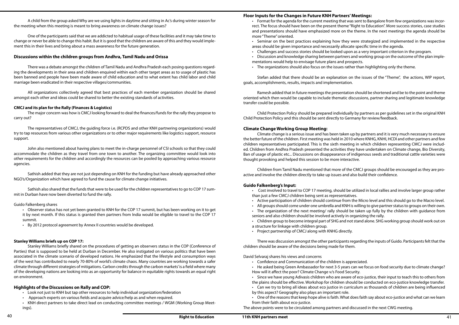#### **Floor Inputs for the Changes in Future KNH Partners' Meetings:**

• Format for the agenda for the current meeting that was sent to Bangalore from few organizations was incorrect. The focus should have been on the present theme "Right to Education". More success stories, case studies and presentations should have emphasized more on the theme. In the next meetings the agenda should be

• Seminar on the best practices explaining how they were strategized and implemented in the respective

- more "Theme" oriented.
- areas should be given importance and necessarily allocate specific time in the agenda.
- • Challenges and success stories should be looked upon as a very important criterion in the program.
- 
- Discussion and knowledge sharing between partners and working group on the outcome of the plan implementations would help to envisage future plans and prospects.
- • The organizations should also focus on the issues rather than highlighting only the theme.

Stefan added that there should be an explanation on the issues of the "Theme", the actions, WIP report, goals, accomplishments, results, impacts and implementation.

Ramesh added that in future meetings the presentation should be shortened and be to the point and theme oriented which then would be capable to include thematic discussions, partner sharing and legitimate knowledge transfer could be possible.

Child Protection Policy should be prepared individually by partners as per guidelines set in the original KNH Child Protection Policy and this should be sent directly to Germany for review/feedback.

#### **Climate Change Working Group Meeting:**

Climate change is a serious issue and has been taken up by partners and it is very much necessary to ensure the better future of the children. First meeting was held in 2010 where KNHG, KNHI, HCDI and other partners and few children representatives participated. This is the sixth meeting in which children representing CMCJ were included. Children from Andhra Pradesh presented the activities they have undertaken on Climate change, Bio Diversity, Ban of usage of plastic etc... Discussions on disappearance of indigenous seeds and traditional cattle varieties were thought provoking and helped this session to be more interactive.

Children from Tamil Nadu mentioned that more of the CMCJ groups should be encouraged as they are proactive and involve the children directly to take up issues and also build their confidence.

#### **Guido Falkenberg's Input:**

- • Cost involved to travel to COP 17 meeting, should be utilized in local rallies and involve larger group rather than just a few CMCJ children being sent as representatives.
- 
- 
- • Active participation of children should continue from the Micro level and this should go to the Macro level. • All groups should come under one umbrella and KNH is willing to give partner status to groups on their own. • The organization of the next meeting/ rally should be taken up fully by the children with guidance from seniors and also children should be involved actively in organizing the rally.
- • Children group to become integral part of SHG and not stand alone. SHG working group should work out on
- a structure for linkage with children group.
- • Project partnership of CMCJ along with KNHG directly.

There was discussion amongst the other participants regarding the inputs of Guido. Participants felt that the children should be aware of the decisions being made for them.

David Selvaraj shares his views and concerns

- • Confidence and Communication of the children is appreciated.
- He asked being Green Ambassador for next 3-5 years can we focus on food security due to climate change? How will it affect the poor? Climate Change v/s Food Security.
- 
- • Since we have young Adivasis children who are aware of eco-justice, their input to teach this to others from the plains should be effective. Workshop for children should be conducted on eco-justice knowledge transfer. • Can we try to bring all ideas about eco justice in curriculum as thousands of children are being influenced by this aspect? Geography also plays an important role.
- 
- One of the reasons that keep hope alive is faith. What does faith say about eco-justice and what can we learn
- from their faith about eco-justice.

• KNH direct partners to take direct lead on conducting committee meetings / WGM (Working Group Meetings).

The above points were to be circulated among partners and discussed in the next CWG meeting.

A child from the group asked Why are we using lights in daytime and sitting in Ac's during winter season for the meeting when this meeting is meant to bring awareness on climate change issues?

One of the participants said that we are addicted to habitual usage of these facilities and it may take time to change or never be able to change this habit. But it is good that the children are aware of this and they would implement this in their lives and bring about a mass awareness for the future generation.

#### **Discussions within the children groups from Andhra, Tamil Nadu and Orissa**

There was a debate amongst the children of Tamil Nadu and Andhra Pradesh each posing questions regarding the developments in their area and children enquired within each other target areas as to usage of plastic has been banned and people have been made aware of child education and to what extent has child labor and child marriage been eradicated in their respective villages/communities.

All organizations collectively agreed that best practices of each member organization should be shared amongst each other and ideas could be shared to better the existing standards of activities.

#### **CMCJ and its plan for the Rally (Finances & Logistics)**

The major concern was how is CMCJ looking forward to deal the finances/funds for the rally they propose to carry out?

The representatives of CMCJ, the guiding force i.e. (RCPDS and other KNH partnering organizations) would try to tap resources from various other organizations or to other major requirements like logistics support, resource support.

John also mentioned about having plans to meet the in-charge personnel of CSI schools so that they could accommodate the children as they travel from one town to another. The organizing committee would look into other requirements for the children and accordingly the resources can be pooled by approaching various resource agencies.

Sathish added that they are not just depending on KNH for the funding but have already approached other NGO's/Organization which have agreed to fund the cause for climate change initiatives.

Sathish also shared that the funds that were to be used for the children representatives to go to COP 17 summit in Durban have now been diverted to fund the rally.

#### Guido Falkenberg shares

• Observer status has not yet been granted to KNH for the COP 17 summit, but has been working on it to get it by next month. If this status is granted then partners from India would be eligible to travel to the COP 17 summit.

By 2012 protocol agreement by Annex II countries would be developed.

#### **Stanley Williams briefs up on COP 17:**

Stanley Williams briefly shared on the procedures of getting an observers status in the COP (Conference of Parties) that is supposed to be held at Durban in December. He also instigated on various politics that have been associated in the climate scenario of developed nations. He emphasized that the lifestyle and consumption ways of the west has contributed to nearly 70-80% of world's climate chaos. Many countries are working towards a safer climate through different strategies of mitigations. Carbon credits through the carbon markets' is a field where many of the developing nations are looking into as an opportunity for balance in equitable rights towards an equal right on environment.

#### **Highlights of the Discussions on Rally and COP:**

- • Look not just to KNH but tap other resources to help individual organization/federation
- • Approach experts on various fields and acquire advice/help as and when required.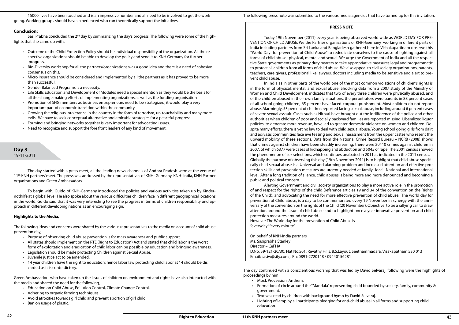The day continued with a conscientious worship that was led by David Selvaraj, following were the highlights of proceedings by him

• Formation of circle around the "Mandala" representing child bounded by society, family, community &

- • Mock Procession, Anthem.
- government.
- Text was read by children with background hymn by David Selvarai. • Lighting of lamp by all participants pledging for anti-child abuse in all forms and supporting child education.

#### **PRESS NOTE**

Today 19th November (2011) every year is being observed world wide as WORLD DAY FOR PRE-VENTION OF CHILD ABUSE. We the Partner organizations of KNH-Germany working in different parts of India including partners from Sri Lanka and Bangladesh gathered here in Vishakapattinam observe this "World Day for prevention of Child Abuse" to rededicate ourselves to the cause of fighting against all forms of child abuse- physical, mental and sexual. We urge the Government of India and all the respective State governments as primary duty bearers to take appropriative measures legal and programmatic to protect all children from all forms of child abuse. We also appeal to civil society organizations, parents, teachers, care givers, professional like lawyers, doctors including media to be sensitive and alert to prevent child abuse.

In India as in other parts of the world one of the most common violations of children's rights is in the form of physical, mental, and sexual abuse. Shocking data from a 2007 study of the Ministry of Women and Child Development, indicates that two of every three children were physically abused, and of the children abused in their own family situations, the perpetrators were parents in 88 percent cases of all school going children, 65 percent have faced corporal punishment. Most children do not report abuse. Alarmingly, 53 percent of children reported facing sexual abuse, including around 6 percent cases of severe sexual assault. Cases such as Nithari have brought out the indifference of the police and other authorities when children of poor and socially backward families are reported missing. Liberalized liquor policies, to generate more revenue, have led to greater domestic violence on women and children. Despite many efforts, there is yet no law to deal with child sexual abuse. Young school going girls from dalit and adivasis communities face eve teasing and sexual harassment from the upper castes who resent the upward mobility of these sections. Data from the National Crime Record Bureau – NCRB (2008) shows that crimes against children have been steadily increasing; there were 20410 crimes against children in 2007, of which 6377 were cases of kidnapping and abduction and 5045 of rape. The 2001 census showed the phenomenon of sex selections, which continues unabated in 2011 as indicated in the 2011 census. Globally the purpose of observing this day (19th November 2011) is to highlight that child abuse specifically child sexual abuse is a Universal and alarming problem and increased attention and effective protection skills and prevention measures are urgently needed at family- local- National and International level. After a long tradition of silence, child abuses is being more and more denounced and becoming a public and political concern.

Sasi Prabha concluded the 2<sup>nd</sup> day by summarizing the day's progress. The following were some of the highlights that she came up with,

- • Outcome of the Child Protection Policy should be individual responsibility of the organization. All the re spective organizations should be able to develop the policy and send it to KNH Germany for further progress.
- Bio-Diversity workshop for all the partners/organizations was a good idea and there is a need of cohesive consensus on this.
- Micro Insurance should be considered and implemented by all the partners as it has proved to be more than successful.
- Gender Balanced Programs is a necessity.
- Life Skills Education and Development of Modules need a special mention as they would be the basis for all the change making efforts of implementing organizations as well as the funding organisation
- Promotion of SHG members as business entrepreneurs need to be strategized, it would play a very important part of economic transition within the community.
- Growing the religious intolerance in the country in the form of terrorism, un-touchability and many more evils. We have to seek conceptual alternative and amicable strategies for a peaceful progress.
- Forming and bringing networks together is very important for advocating issues.
- Need to recognize and support the fore front leaders of any kind of movement.

- Purpose of observing child abuse prevention is for mass awareness and public support.
- • All states should implement on the RTE (Right to Education) Act and stated that child labor is the worst form of exploitation and eradication of child labor can be possible by education and bringing awareness.
- Legislation should be made protecting Children against Sexual Abuse.
- • Juvenile justice act to be amended.
- 14 year children have the right to education; hence labor law protecting child labor at 14 should be dis carded as it is contradictory.

Alerting Government and civil society organizations to play a more active role in the promotion of and respect for the rights of the child (reference articles 19 and 34 of the convention on the Rights of the Child), and advocating the need for more effective prevention of child abuse. The world day for prevention of Child abuse, is a day to be commemorated every 19 November in synergy with the anniversary of the convention on the rights of the Child (20 November). Objective: to be a rallying call to draw attention around the issue of child abuse and to highlight once a year innovative prevention and child protection measures around the world. However The World day for the prevention of Child Abuse is "everyday" "every minute"

On behalf of KNH-India partners Ms. Sasiprabha Stanley Director – CeFHA D.No. 59-121-20/30, Flat No.501, Revathy Hills, B.S.Layout, Seethammadara, Visakapatnam 530 013 Email; sasiw@sify.com , Ph: 0891-2720148 / 09440156281

15000 lives have been touched and is an impressive number and all need to be involved to get the work going. Working groups should have experienced who can theoretically support the initiatives.

#### **Conclusion:**

## **Day 3** 19-11-2011

The day started with a press meet, all the leading news channels of Andhra Pradesh were at the venue of 11<sup>th</sup> KNH partners' meet. The press was addressed by the representatives of KNH- Germany, KNH- India, KNH Partner organizations and Green Ambassadors.

To begin with, Guido of KNH-Germany introduced the policies and various activities taken up by Kindernothilfe at a global level. He also spoke about the various difficulties children face in different geographical locations in the world. Guido said that it was very interesting to see the progress in terms of children responsibility and approach in different developing nations as an encouraging sign.

#### **Highlights to the Media,**

The following ideas and concerns were shared by the various representatives to the media on account of child abuse prevention day,

Green Ambassadors who have taken up the issues of children on environment and rights have also interacted with the media and shared the need for the following,

- **Education on Child Abuse, Pollution Control, Climate Change Control.**
- • Adhering to organic farming techniques.
- • Avoid atrocities towards girl child and prevent abortion of girl child.
- Ban on usage of plastic.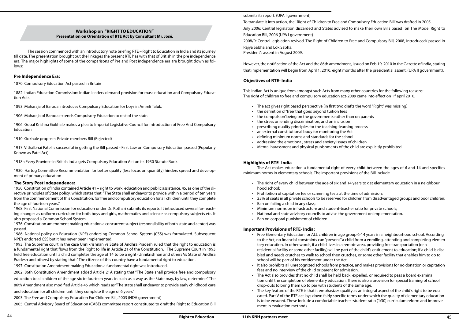submits its report. (UPA I government)

To translate it into action, the `Right of Children to Free and Compulsory Education Bill' was drafted in 2005. July 2006: Central legislation discarded and States advised to make their own Bills based on The Model Right to Education Bill, 2006 (UPA I government) 2008/9: Central legislation revived. The Right of Children to Free and Compulsory Bill, 2008, introduced/ passed in Rajya Sabha and Lok Sabha.

This Indian Act is unique from amongst such Acts from many other countries for the following reasons: The right of children to free and compulsory education act-2009 came into effect on 1<sup>st</sup> april 2010.

President's assent in August 2009.

However, the notification of the Act and the 86th amendment, issued on Feb 19, 2010 in the Gazette of India, stating that implementation will begin from April 1, 2010, eight months after the presidential assent. (UPA II government).

#### **Objectives of RTE- India**

- The act gives right based perspective (in first two drafts the word "Right" was missing)
- the definition of 'free' that goes beyond tuition fees
- the 'compulsion' being on the governments rather than on parents
- the stress on ending discrimination, and on inclusion
- prescribing quality principles for the teaching-learning process
- • an external constitutional body for monitoring the Act
- • defining minimum norms and standards for the school
- • addressing the emotional, stress and anxiety issues of children
- • Mental harassment and physical punishments of the child are explicitly prohibited.

- • The right of every child between the age of six and 14 years to get elementary education in a neighbour hood school;
- Prohibition of capitation fee or screening tests at the time of admission;
- • 25% of seats in all private schools to be reserved for children from disadvantaged groups and poor children;
- Ban on failing a child in any class;
- Minimum norms on infrastructure and student-teacher ratio for private schools;
- • National and state advisory councils to advise the government on implementation.
- Ban on corporal punishment of children

Free Elementary Education for ALL children in age group 6-14 years in a neighbourhood school. According to the Act, no financial constraints can "prevent" a child from a enrolling, attending and completing elemen

#### **Highlights of RTE- India**

The Act makes education a fundamental right of every child between the ages of 6 and 14 and specifies minimum norms in elementary schools. The important provisions of the Bill include

The key feature of the RTE is that it emphasizes quality as an integral aspect of the child's right to be edu cated. Part V of the RTE act lays down fairly specific terms under which the quality of elementary education is to be ensured. These include a comfortable teacher -student ratio (1:30) curriculum reform and improve

#### **Important Provisions of RTE- India:**

residential facility or some other facility) will be part of the child's entitlement to education; if a child is disa bled and needs crutches to walk to school then crutches, or some other facility that enables him to go to

It also prohibits all unrecognized schools from practice, and makes provisions for no donation or capitation

- tary education. In other words, if a child lives in a remote area, providing free transportation (or a school will be part of his entitlement under the Act.
- fees and no interview of the child or parent for admission.
- The Act also provides that no child shall be held back, expelled, or required to pass a board examina drop-outs to bring them up to par with students of the same age.
- ment in evaluation methods

tion until the completion of elementary education. There is also a provision for special training of school

#### **Workshop on "RIGHT TO EDUCATION" Presentation on Orientation of RTE Act by Consultant Mr. José.**

The session commenced with an introductory note briefing RTE – Right to Education in India and its journey till date. The presentation brought out the linkages the present RTE has with that of British in the pre independence era. The major highlights of some of the comparisons of Pre and Post independence era are brought down as follows:

#### **Pre Independence Era:**

1870: Compulsory Education Act passed in Britain

1882: Indian Education Commission: Indian leaders demand provision for mass education and Compulsory Education Acts.

1893: Maharaja of Baroda introduces Compulsory Education for boys in Amreli Taluk.

1906: Maharaja of Baroda extends Compulsory Education to rest of the state.

1906: Gopal Krishna Gokhale makes a plea to Imperial Legislative Council for introduction of Free And Compulsory Education

1910: Gokhale proposes Private members Bill (Rejected)

1917: Vithalbhai Patel is successful in getting the Bill passed - First Law on Compulsory Education passed (Popularly Known as Patel Act)

1918-: Every Province in British India gets Compulsory Education Act on its 1930 Statute Book

1930: Hartog Committee Recommendation for better quality (less focus on quantity) hinders spread and development of primary education

#### **The Story Post independence:**

1950: Constitution of India contained Article 41 – right to work, education and public assistance, 45, as one of the directive principles of State policy, which states that: "The State shall endeavor to provide within a period of ten years from the commencement of this Constitution, for free and compulsory education for all children until they complete the age of fourteen years."

1968: First National Commission for education under Dr. Kothari submits its reports. It introduced several far-reaching changes as uniform curriculum for both boys and girls, mathematics and science as compulsory subjects etc. It also proposed a Common School System.

1976: Constitution amendment making education a concurrent subject (responsibility of both state and center) was passed.

1986: National policy on Education (NPE) endorsing Common School System (CSS) was formulated. Subsequent NPE's endorsed CSS but it has never been implemented.

1993: The Supreme court in the case Unnikrishnan vs State of Andhra Pradesh ruled that the right to education is a fundamental right that flows from the Right to life in Article 21 of the Constitution. The Supreme Court in 1993 held free education until a child completes the age of 14 to be a right (Unnikrishnan and others Vs State of Andhra Pradesh and others) by stating that: "The citizens of this country have a fundamental right to education.

1997: Constitution Amendment making Education a fundamental right was introduced.

2002: 86th Constitution Amendment added Article 21A stating that "The State shall provide free and compulsory education to all children of the age six to fourteen years in such as a way as the State may, by law, determine." The 86th Amendment also modified Article 45 which reads as "The state shall endeavor to provide early childhood care and education for all children until they complete the age of 6 years".

2003: The Free and Compulsory Education For Children Bill, 2003 (NDA government)

2005: Central Advisory Board of Education (CABE) committee report constituted to draft the Right to Education Bill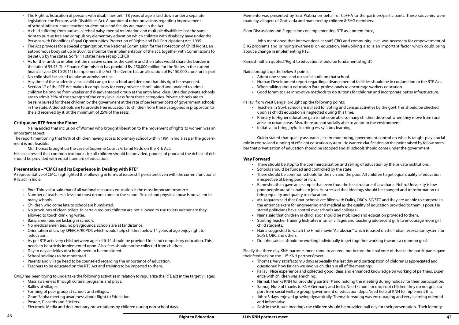Memento was presented by Sasi Prabha on behalf of CeFHA to the partners/participants. These souvenirs were made by villagers of Gottivada and marketed by children & SHG members.

Floor Discussions and Suggestions on implementing RTE as a potent force,

John mentioned that interventions at staff, CBO and community level was necessary for empowerment of SHG programs and bringing awareness on education. Networking also is an important factor which could bring about a change in implementing RTE.

Rameshnathan quoted "Right to education should be fundamental right".

Naina brought up the below 3 points;

• Human Development report regarding advancement of facilities should be in conjunction to the RTE Act.

Primary to Higher education gap is not cope able so many children drop-out when they move from rural

- • Adopt one school and do social audit on that school.
- 
- • When talking about education Para-professionals to encourage workers education.
- • Good forum to use innovative methods to do tuitions for children and incorporate better infrastructure.

Pallavi from West Bengal brought up the following points;

- Teachers in Govt. school are utilized for voting and census activities by the govt. this should be checked upon as child's education is neglected during this time.
- areas to urban areas. Also, there are not socially able to adapt to the environment.
- Initiative to bring joyful learning v/s syllabus learning.

Mr. Jogaram said that Govt. schools are filled with Dalits, OBC's, SC/STC and they are unable to compete in the entrance exam for engineering and medical as the quality of education provided to them is poor. He

Naina suggested to watch the Hindi movie "Aarakshan" which is based on the Indian reservation system for

• Pallavi: Nice experience and collected good ideas and enhanced knowledge on working of partners. Experi

Nirmal: Thanks KNH for providing partner # and holding the meeting during holiday for their participation. • Samraj: Note of thanks to KNH Germany and India. Need school for drop-out children they do not get sup

Finally the three day KNH partners meet came to an end, but before the final vote of thanks the participants gave their feedback on the 11<sup>th</sup> KNH partners' meet.

Guido stated that quality assurance, exam monitoring, government control on what is taught play crucial role in control and running of efficient education system. He wanted clarification on the point raised by fellow member that privatization of education should be stopped and all schools should come under the government.

#### **Way Forward**

- There should be stop to the commercialization and selling of education by the private institutions.
- • Schools should be funded and controlled by the state.
- irrespective of being poor or rich.
- • Rameshnathan gave an example that even thou the fee structure of Jawaharlal Nehru University is low bring equality and quality to education.
- stated politicians have control over schools and colleges.
- • Naina said that children in child labor should be mobilized and education provided to them.
- Starting Teacher Training Institutes in small villages and teaching adolescent girls to encourage more girl child students.
- SC/ST, OBC and others.
- Dr. John said all should be working individually to get together working towards a common goal.

• There should be common schools for the rich and the poor. All children to get equal quality of education

poor people are still unable to join. He stressed that ideology should be changed and transformation to

- The Right to Education of persons with disabilities until 18 years of age is laid down under a separate legislation- the Persons with Disabilities Act. A number of other provisions regarding improvement of school infrastructure, teacher-student ratio and faculty are made in the Act.
- A child suffering from autism, cerebral palsy, mental retardation and multiple disabilities has the same right to pursue free and compulsory elementary education which children with disability have under the Persons with Disabilities (Equal Opportunities, Protection of Rights and Full Participation) Act, 1995.
- The Act provides for a special organization, the National Commission for the Protection of Child Rights, an autonomous body set up in 2007, to monitor the implementation of the act, together with Commissions to be set up by the states. So far 11 states have set up SCPCR
- As for the funds to implement the massive scheme, the Centre and the States would share the burden in the ratio of 55:45. The Finance Commission has provided Rs. 250,000 million for the States in the current financial year (2010-2011) to implement the Act. The Centre has an allocation of Rs 150,000 crore for its part
- No child shall be asked to take an admission test.
- Any time of the academic year, a child can go to a school and demand that this right be respected.
- Section 12 of the RTE Act makes it compulsory for every private school--aided and unaided to admit children belonging from weaker and disadvantaged group at the entry level class. Unaided private schools are to admit 25% of the strength of the entry level class from these categories. Private schools are to be reimbursed for these children by the government at the rate of per learner costs of government schools in the state. Aided schools are to provide free education to children from these categories in proportion to the aid received by it, at the minimum of 25% of the seats.

- • Thomas: Very satisfactory 3 days especially the last day and participation of children is appreciated and questioned how far can we involve children in all of the meetings.
- ence with children was enriching.
- 
- port from social welfare group, government or education dept. Need help of KNH to implement this.
- • John: 3 days enjoyed growing dynamically. Thematic reading was encouraging and very learning oriented and informative.
- 

- Poet Thiruvallur said that of all national resources education is the most important resource.
- Number of teachers is less and most do not come to the school. Sexual and physical abuse is prevalent in many schools.
- Children who come late to school are humiliated.
- No provisions of clean toilets. In certain regions children are not allowed to use toilets neither are they allowed to touch drinking water.
- Basic amenities are lacking in schools.
- No medical amenities, no playgrounds, schools are at far distance.
- Orientation of law by SPEECH/RCPDS which would help children below 14 years of age enjoy right to education.
- • As per RTE act every child between ages of 6-14 should be provided free and compulsory education. This needs to be strictly implemented upon. Also, fees should not be collected from children.
- Day to day activities of schools need to be monitored.
- School holdings to be monitored.
- Parents and village head to be counseled regarding the importance of education.
- • Teachers to be educated on the RTE Act and training to be imparted to them.

• Sasi: In the future meetings the children should be provided half day for their presentation. Their identity

#### **Critique on RTE from the Floor:**

Naina added that inclusion of Women who brought liberation to the movement of rights to women was an important aspect.

The report mentioning that 98% of children having access to primary school within 1KM in India as per the government is not feasible.

Mr. Thomas brought up the case of Supreme Court v/s Tamil Nadu on the RTE Act.

He also stressed that common text books for all children should be provided, poorest of poor and the richest of rich should be provided with equal standard of education.

#### **Presentation – "CMCJ and its Experience in Dealing with RTE"**

A representative of CMCJ highlighted the following in terms of issues still persistent even with the current functional RTE act in India

CMCJ has been trying to undertake the following activities in relation to regularize the RTE act in the target villages.

- Mass awareness through cultural programs and plays.
- Rallies at villages.
- • Forming of peer group at schools and villages.
- Gram Sabha meeting awareness about Right to Education.
- Posters, Placards and Stickers.
- Electronic Media and documentary presentations by children during non-school days.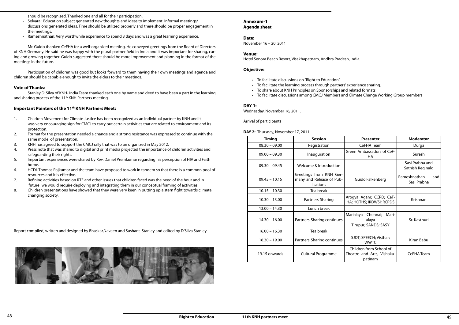#### **Annexure-1 Agenda sheet**

#### **Date:**

November 16 – 20, 2011

- • To facilitate discussions on "Right to Education".
- To facilitate the learning process through partners' experience sharing.
- To share about KNH Principles on Sponsorships and related formats
- To facilitate discussions among CMCJ Members and Climate Change Working Group members

#### **Venue:**

Hotel Senora Beach Resort, Visakhapatnam, Andhra Pradesh, India.

#### **Objective:**

#### **DAY 1:**

Wednesday, November 16, 2011.

Arrival of participants

**DAY 2:** Thursday, November 17, 2011.

| <b>Timing</b>   | <b>Session</b>                                                   | <b>Presenter</b>                                                 | <b>Moderator</b>                    |
|-----------------|------------------------------------------------------------------|------------------------------------------------------------------|-------------------------------------|
| $08.30 - 09.00$ | Registration                                                     | CeFHA Team                                                       | Durga                               |
| $09.00 - 09.30$ | Inauguration                                                     | Green Ambassadors of CeF-<br>HA                                  | Suresh                              |
| $09.30 - 09.45$ | Welcome & Introduction                                           |                                                                  | Sasi Prabha and<br>Sathish Reginald |
| $09.45 - 10.15$ | Greetings from KNH Ger-<br>many and Release of Pub-<br>lications | Guido Falkenberg                                                 | Rameshnathan<br>and<br>Sasi Prabha  |
| $10.15 - 10.30$ | Tea break                                                        |                                                                  |                                     |
| $10.30 - 13.00$ | Partners' Sharing                                                | Arogya Agam; CCRD; CeF-<br>HA; HOTHS; IRDWSI; RCPDS              | Krishnan                            |
| $13.00 - 14.30$ | Lunch break                                                      |                                                                  |                                     |
| $14.30 - 16.00$ | Partners' Sharing continues                                      | Marialaya<br>Chennai; Mari-<br>alaya<br>Tirupur; SANDS; SASY     | Sr. Kasthuri                        |
| $16.00 - 16.30$ | Tea break                                                        |                                                                  |                                     |
| $16.30 - 19.00$ | Partners' Sharing continues                                      | SJDT; SPEECH; Visthar;<br><b>WWTC</b>                            | Kiran Babu                          |
| 19.15 onwards   | <b>Cultural Programme</b>                                        | Children from School of<br>Theatre and Arts, Vishaka-<br>patinam | CeFHA Team                          |

Stanley D' Silva of KNH- India Team thanked each one by name and deed to have been a part in the learning and sharing process of the 11<sup>th</sup> KNH Partners meeting.

should be recognized. Thanked one and all for their participation.

- Selvaraj: Education subject generated new thoughts and ideas to implement. Informal meetings/ discussions generated ideas. Time should be utilized properly and there should be proper engagement in the meetings.
- Rameshnathan: Very worthwhile experience to spend 3 days and was a great learning experience.

Mr. Guido thanked CeFHA for a well-organized meeting. He conveyed greetings from the Board of Directors of KNH Germany. He said he was happy with the plural partner field in India and it was important for sharing, caring and growing together. Guido suggested there should be more improvement and planning in the format of the meetings in the future.

Participation of children was good but looks forward to them having their own meetings and agenda and children should be capable enough to invite the elders to their meetings.

#### **Vote of Thanks:**

#### **Important Pointers of the 11th KNH Partners Meet:**

- 1. Children Movement for Climate Justice has been recognized as an individual partner by KNH and it was very encouraging sign for CMCJ to carry out certain activities that are related to environment and its protection.
- 2. Format for the presentation needed a change and a strong resistance was expressed to continue with the same model of presentation.
- 3. KNH has agreed to support the CMCJ rally that was to be organized in May 2012.
- 4. Press note that was shared to digital and print media projected the importance of children activities and safeguarding their rights.
- 5. Important experiences were shared by Rev. Daniel Premkumar regarding his perception of HIV and Faith home.
- 6. HCDI, Thomas Rajkumar and the team have proposed to work in tandem so that there is a common pool of resources and it is effective.
- 7. Refining activities based on RTE and other issues that children faced was the need of the hour and in future we would require deploying and integrating them in our conceptual framing of activities.
- 8. Children presentations have showed that they were very keen in putting up a stern fight towards climate changing society.

Report compiled, written and designed by Bhaskar,Naveen and Sushant Stanley and edited by D'Silva Stanley.

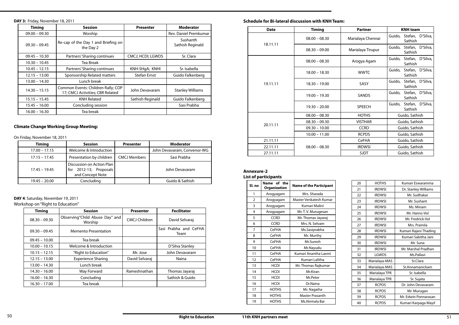#### **Schedule for Bi-lateral discussion with KNH Team:**

#### **Annexure-2 List of participants**

| <b>Date</b> | <b>Timing</b>   | <b>Partner</b>    | <b>KNH</b> team                       |
|-------------|-----------------|-------------------|---------------------------------------|
|             | $08.00 - 08.30$ | Marialaya Chennai | Guido, Stefan, D'Silva,<br>Sathish    |
| 18.11.11    | $08.30 - 09.00$ | Marialaya Tirupur | Stefan, D'Silva,<br>Guido,<br>Sathish |
|             | $08.00 - 08.30$ | Arogya Agam       | Stefan, D'Silva,<br>Guido,<br>Sathish |
|             | $18.00 - 18.30$ | <b>WWTC</b>       | Stefan, D'Silva,<br>Guido,<br>Sathish |
| 19.11.11    | $18.30 - 19.00$ | <b>SASY</b>       | Stefan, D'Silva,<br>Guido,<br>Sathish |
|             | $19.00 - 19.30$ | SANDS             | Stefan, D'Silva,<br>Guido,<br>Sathish |
|             | $19.30 - 20.00$ | <b>SPEECH</b>     | Stefan, D'Silva,<br>Guido,<br>Sathish |
|             | $08.00 - 08.30$ | <b>HOTHS</b>      | Guido, Sathish                        |
|             | $08.30 - 09.30$ | <b>VISTHAR</b>    | Guido, Sathish                        |
| 20.11.11    | $09.30 - 10.00$ | <b>CCRD</b>       | Guido, Sathish                        |
|             | $10.00 - 11.00$ | <b>RCPDS</b>      | Guido, Sathish                        |
| 21.11.11    |                 | <b>CeFHA</b>      | Guido, Sathish                        |
| 22.11.11    | $08.00 - 08.30$ | <b>IRDWSI</b>     | Guido, Sathish                        |
| 27.11.11    |                 | <b>SJDT</b>       | Guido, Sathish                        |

| Sl. no         | of the<br><b>Name</b><br><b>Organization</b> | <b>Name of the Participant</b> |  |
|----------------|----------------------------------------------|--------------------------------|--|
| 1              | Arogyagam                                    | Mrs. Sharada                   |  |
| $\overline{2}$ | Arogyagam                                    | Master Venkatesh Kumar         |  |
| 3              | Arogyagam                                    | Kumari Malini                  |  |
| 4              | Arogyagam                                    | Mr. T. V. Murugesan            |  |
| 5              | <b>CCRD</b>                                  | Mr. Thomas Jayaraj             |  |
| 6              | <b>CCRD</b>                                  | Mrs. N. Selvam                 |  |
| 7              | <b>CeFHA</b>                                 | Ms. Sasiprabha                 |  |
| 8              | CeFHA                                        | Mr. Murthy                     |  |
| 9              | <b>CeFHA</b>                                 | Mr.Suresh                      |  |
| 10             | <b>CeFHA</b>                                 | Mr.Nayudu                      |  |
| 11             | <b>CeFHA</b>                                 | Kumari Anantha Laxmi           |  |
| 12             | CeFHA                                        | Kumari Lalitha                 |  |
| 13             | <b>HCDI</b>                                  | Mr. Thomas Rajkumar            |  |
| 14             | <b>HCDI</b>                                  | Mr.Kiran                       |  |
| 15             | <b>HCDI</b>                                  | Mr.Peter                       |  |
| 16             | <b>HCDI</b>                                  | Dr.Naina                       |  |
| 17             | <b>HOTHS</b>                                 | Mr. Nagaiha                    |  |
| 18             | <b>HOTHS</b>                                 | Master Prasanth                |  |
| 19             | <b>HOTHS</b>                                 | Ms.Nirmala Bai                 |  |

| 20 | <b>HOTHS</b>  | Kumari Eswaramma      |
|----|---------------|-----------------------|
| 21 | <b>IRDWSI</b> | Dr. Stanley Williams  |
| 22 | <b>IRDWSI</b> | Mr. Sudhakar          |
| 23 | <b>IRDWSI</b> | Mr. Sushant           |
| 24 | <b>IRDWSI</b> | Ms. Miriam            |
| 25 | <b>IRDWSI</b> | Mr. Hanns-Vol         |
| 26 | <b>IRDWSI</b> | Mr. Fredrick-Vol      |
| 27 | <b>IRDWSI</b> | Mrs. Pramila          |
| 28 | <b>IRDWSI</b> | Kumari Rajani Thading |
| 29 | <b>IRDWSI</b> | Kumari Sabitha Jani   |
| 30 | <b>IRDWSI</b> | Mr. Suna              |
| 31 | <b>IRDWSI</b> | Mr. Marshal Pradhan   |
| 32 | LGWDS         | Ms.Pallavi            |
| 33 | Marialaya-MAS | Sr.Clara              |
| 34 | Marialaya-MAS | Sr.Annamanickam       |
| 35 | Marialaya TPR | Sr. Isabella          |
| 36 | Marialaya TPR | Sr. Sujata            |
| 37 | <b>RCPDS</b>  | Dr. John Devavaram    |
| 38 | <b>RCPDS</b>  | Mr. Murugan           |
| 39 | <b>RCPDS</b>  | Mr. Edwin Ponnarasan  |
| 40 | <b>RCPDS</b>  | Kumari Karpaga Mayil  |

#### **DAY 3:** Friday, November 18, 2011

## **Climate Change Working Group Meeting:**

On Friday, November 18, 2011

#### **DAY 4**: Saturday, November 19, 2011

Workshop on "Right to Education"

| <b>Timing</b>   | <b>Session</b>                                                         | <b>Presenter</b>    | <b>Moderator</b>             |
|-----------------|------------------------------------------------------------------------|---------------------|------------------------------|
| $09.00 - 09.30$ | Worship                                                                |                     | Rev. Daniel Premkumar        |
| $09.30 - 09.45$ | Re-cap of the Day 1 and Briefing on<br>the Day 2                       |                     | Sushanth<br>Sathish Reginald |
| $09.45 - 10.30$ | Partners' Sharing continues                                            | CMCJ; HCDI; LGWDS   | Sr. Clara                    |
| $10.30 - 10.45$ | <b>Tea Break</b>                                                       |                     |                              |
| $10.45 - 12.15$ | Partners' Sharing continues                                            | KNH-SHgA; KNHI      | Sr. Isabella                 |
| $12.15 - 13.00$ | Sponsorship Related matters                                            | <b>Stefan Ernst</b> | Guido Falkenberg             |
| $13.00 - 14.30$ | Lunch break                                                            |                     |                              |
| $14.30 - 15.15$ | Common Events: Children Rally; COP<br>17; CMCJ Activities; CBR Related | John Devavaram      | <b>Stanley Williams</b>      |
| $15.15 - 15.45$ | <b>KNH Related</b>                                                     | Sathish Reginald    | Guido Falkenberg             |
| $15.45 - 16.00$ | Concluding session                                                     |                     | Sasi Prabha                  |
| $16.00 - 16.30$ | Tea break                                                              |                     |                              |

| <b>Timing</b>   | <b>Session</b>                                                          | <b>Presenter</b>    | <b>Moderator</b>            |
|-----------------|-------------------------------------------------------------------------|---------------------|-----------------------------|
| $17.00 - 17.15$ | Welcome & Introduction                                                  |                     | John Devavaram, Convenor-WG |
| $17.15 - 17.45$ | Presentation by children                                                | <b>CMCJ Members</b> | Sasi Prabha                 |
| $17.45 - 19.45$ | Discussion on Action Plan<br>for 2012-13; Proposals<br>and Concept Note |                     | John Devavaram              |
| $19.45 - 20.00$ | Concluding                                                              |                     | Guido & Sathish             |

| <b>Timing</b>   | <b>Session</b>                            | <b>Presenter</b>     | <b>Fecilitator</b>            |
|-----------------|-------------------------------------------|----------------------|-------------------------------|
| $08.30 - 09.30$ | Observing"Child Abuse Day" and<br>Worship | <b>CMCJ Children</b> | David Selvaraj                |
| $09.30 - 09.45$ | <b>Memento Presentation</b>               |                      | Sasi Prabha and CeFHA<br>Team |
| $09.45 - 10.00$ | Tea break                                 |                      |                               |
| $10.00 - 10.15$ | Welcome & Introduction                    |                      | D'Silva Stanley               |
| $10.15 - 12.15$ | "Right to Education"                      | Mr. Jose             | John Devavaram                |
| $12.15 - 13.00$ | <b>Experience Sharing</b>                 | David Selvaraj       | Naina                         |
| $13.00 - 14.30$ | Lunch break                               |                      |                               |
| $14.30 - 16.00$ | Way Forward                               | Rameshnathan         | Thomas Jayaraj                |
| $16.00 - 16.30$ | Concluding                                |                      | Sathish & Guido               |
| $16.30 - 17.00$ | Tea break                                 |                      |                               |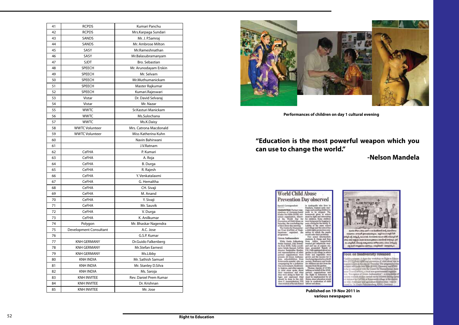| 41 | <b>RCPDS</b>           | Kumari Panchu          |
|----|------------------------|------------------------|
| 42 | <b>RCPDS</b>           | Mrs.Karpaga Sundari    |
| 43 | SANDS                  | Mr. J. P.Samraj        |
| 44 | SANDS                  | Mr. Ambrose Milton     |
| 45 | SASY                   | Mr.Rameshnathan        |
| 46 | SASY                   | Mr.Balasubramanyam     |
| 47 | <b>SJDT</b>            | <b>Bro. Sebastian</b>  |
| 48 | SPEECH                 | Mr. Arunodayam Erskin  |
| 49 | <b>SPEECH</b>          | Mr. Selvam             |
| 50 | <b>SPEECH</b>          | Mr.Muthumanickam       |
| 51 | SPEECH                 | Master Rajkumar        |
| 52 | SPEECH                 | Kumari.Rajeswari       |
| 53 | Vistar                 | Dr. David Selvaraj     |
| 54 | Vistar                 | Mr. Nazar              |
| 55 | <b>WWTC</b>            | Sr.Kasturi Manickam    |
| 56 | <b>WWTC</b>            | Ms.Sulochana           |
| 57 | <b>WWTC</b>            | Ms.K.Daisy             |
| 58 | <b>WWTC Volunteer</b>  | Mrs. Catrona Macdonald |
| 59 | <b>WWTC Volunteer</b>  | Miss Katherina Kuhn    |
| 60 |                        | Navin Bahirwani        |
| 61 |                        | J.V.Ratnam             |
| 62 | CeFHA                  | P. Kumari              |
| 63 | CeFHA                  | A. Roja                |
| 64 | CeFHA                  | <b>B.</b> Durga        |
| 65 | CeFHA                  | R. Rajesh              |
| 66 | CeFHA                  | Y. Venkatalaxmi        |
| 67 | <b>CeFHA</b>           | G. Hemaltha            |
| 68 | <b>CeFHA</b>           | CH. Sivaji             |
| 69 | <b>CeFHA</b>           | M. Anand               |
| 70 | CeFHA                  | Y. Sivaji              |
| 71 | CeFHA                  | Mr. Sauvik             |
| 72 | CeFHA                  | V. Durga               |
| 73 | CeFHA                  | K. Anilkumar           |
| 74 | Polygon                | Mr. Bhaskar Nagendra   |
| 75 | Development Consultant | A.C. Jose              |
| 76 |                        | G.S.P. Kumar           |
| 77 | <b>KNH GERMANY</b>     | Dr.Guido Falkenberg    |
| 78 | <b>KNH GERMANY</b>     | Mr.Stefan Earnest      |
| 79 | <b>KNH GERMANY</b>     | Ms.Libby               |
| 80 | <b>KNH INDIA</b>       | Mr. Sathish Samuel     |
| 81 | <b>KNH INDIA</b>       | Mr. Stanley D.Silva    |
| 82 | <b>KNH INDIA</b>       | Ms. Saroja             |
| 83 | <b>KNH INVITEE</b>     | Rev. Daniel Prem Kumar |
| 84 | <b>KNH INVITEE</b>     | Dr. Krishnan           |
| 85 | <b>KNH INVITEE</b>     | Mr. Jose               |
|    |                        |                        |



| <b>World Child Abuse</b>                                                                                                                                                                                                                                                                                                                                                                                                                                                                                                                                                                                                                                                                                                                                                                                                                                                                               |                                                                                                                                                                                                                                                                                                                                                                                                                                                                                                                                                                                                                                                                                                                                                                                                                                                     |  |  |
|--------------------------------------------------------------------------------------------------------------------------------------------------------------------------------------------------------------------------------------------------------------------------------------------------------------------------------------------------------------------------------------------------------------------------------------------------------------------------------------------------------------------------------------------------------------------------------------------------------------------------------------------------------------------------------------------------------------------------------------------------------------------------------------------------------------------------------------------------------------------------------------------------------|-----------------------------------------------------------------------------------------------------------------------------------------------------------------------------------------------------------------------------------------------------------------------------------------------------------------------------------------------------------------------------------------------------------------------------------------------------------------------------------------------------------------------------------------------------------------------------------------------------------------------------------------------------------------------------------------------------------------------------------------------------------------------------------------------------------------------------------------------------|--|--|
| <b>Prevention Day observed</b>                                                                                                                                                                                                                                                                                                                                                                                                                                                                                                                                                                                                                                                                                                                                                                                                                                                                         |                                                                                                                                                                                                                                                                                                                                                                                                                                                                                                                                                                                                                                                                                                                                                                                                                                                     |  |  |
| Special Corresponds<br><b>VILLICALP &amp; TAAM: Furtner sings</b><br>tisetions of Germany-hased<br>Kinder Not Billie (KNH), vol-<br>tary erganisation, obe<br>ed the World D<br>Prevention of Child About<br><b>Saturday</b> , the<br>The Centre for Human<br>ian Trust (CePHA) of Visak-<br>apattans organized the<br>programma<br>Green And<br>anualors<br>While Guide Fulkeshers<br>Hefun Earnest, Liby Doniel-<br>ita from KNH, India es<br>potor Fetish Sumsell, C4FILA<br>tor Tasiardda 1<br>and representatives of stil<br>partner organisation<br>present, 33 Green.<br>Aora, ach<br>Estevandia mandal, who a<br>selatning for a p<br>free govinnment, blodiversi<br>ty, beginns, and other sape<br>in runal areas and<br>fatir experience a<br>they were do<br><b>M. EQUIVAL</b><br><b>OH H</b><br>should be done to the 12<br>Inos, C. Anantalakuheel, VIII<br>class student of feature Sche | to Anakapailir who<br>ru, wanted carl<br>risgecundwinding.ch<br>work to be ringep<br>mework given<br>at ha lluthit an<br>e childres, fiome ch<br>were being sent for begging to<br>earn a living for the fami<br>Latitha of the<br>Pilot echool I<br>il village es<br>a child rights protection co-<br>other to which the pu<br>ddi swliet Shatir prof<br>Two assist<br>stadents B. Durgs and<br>Irvas Juliano<br>wanted girl infanticide<br>6 and use of orga<br>nore promoted.<br>X. Pulli explained ab<br>wellam im hún vidin<br>d teachibles w<br>rown and the incom<br>sing deposits<br>society. Stationery and books<br>be children are sun from the<br><b>Income from the guid</b><br>Thomas Jayuraj of CCRD<br>talking on behalf of the KNH<br>patteer impossible<br>and he longdrapended.<br>tes, since eds<br>help in sendeziton of child |  |  |

**various newspapers**

# **"Education is the most powerful weapon which you can use to change the world."**

# **-Nelson Mandela**



**Performances of children on day 1 cultural evening**